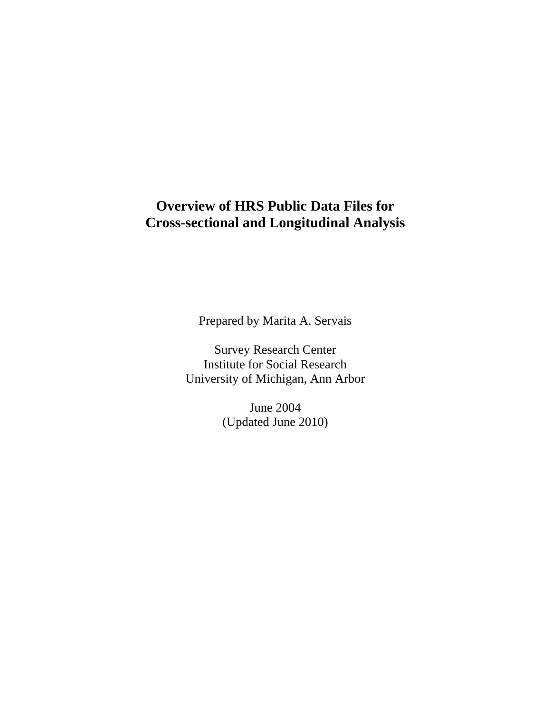# **Overview of HRS Public Data Files for Cross-sectional and Longitudinal Analysis**

Prepared by Marita A. Servais

Survey Research Center Institute for Social Research University of Michigan, Ann Arbor

> June 2004 (Updated June 2010)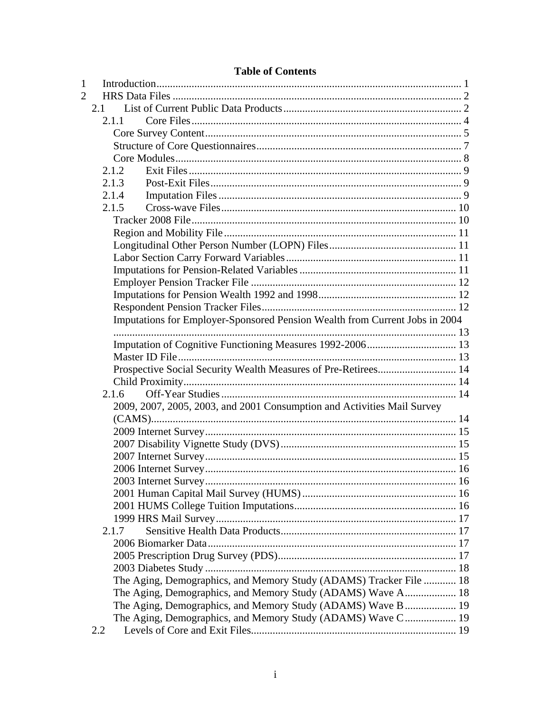| $\mathbf{1}$                                                                |  |
|-----------------------------------------------------------------------------|--|
| $\mathcal{D}_{\cdot}$                                                       |  |
| 2.1                                                                         |  |
| 2.1.1                                                                       |  |
|                                                                             |  |
|                                                                             |  |
|                                                                             |  |
| 2.1.2                                                                       |  |
| 2.1.3                                                                       |  |
| 2.1.4                                                                       |  |
| 2.1.5                                                                       |  |
|                                                                             |  |
|                                                                             |  |
|                                                                             |  |
|                                                                             |  |
|                                                                             |  |
|                                                                             |  |
|                                                                             |  |
|                                                                             |  |
| Imputations for Employer-Sponsored Pension Wealth from Current Jobs in 2004 |  |
|                                                                             |  |
|                                                                             |  |
|                                                                             |  |
| Prospective Social Security Wealth Measures of Pre-Retirees 14              |  |
|                                                                             |  |
| 2.1.6                                                                       |  |
| 2009, 2007, 2005, 2003, and 2001 Consumption and Activities Mail Survey     |  |
|                                                                             |  |
|                                                                             |  |
|                                                                             |  |
|                                                                             |  |
|                                                                             |  |
|                                                                             |  |
|                                                                             |  |
|                                                                             |  |
|                                                                             |  |
| 2.1.7                                                                       |  |
|                                                                             |  |
|                                                                             |  |
| The Aging, Demographics, and Memory Study (ADAMS) Tracker File  18          |  |
| The Aging, Demographics, and Memory Study (ADAMS) Wave A 18                 |  |
| The Aging, Demographics, and Memory Study (ADAMS) Wave B 19                 |  |
| The Aging, Demographics, and Memory Study (ADAMS) Wave C 19                 |  |
| 2.2                                                                         |  |
|                                                                             |  |

## **Table of Contents**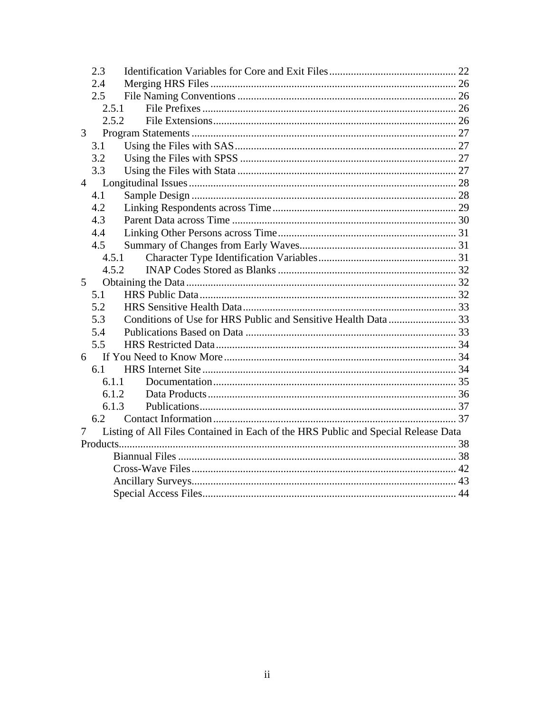| 2.3            |                                                                                   |  |
|----------------|-----------------------------------------------------------------------------------|--|
| 2.4            |                                                                                   |  |
| 2.5            |                                                                                   |  |
|                | 2.5.1                                                                             |  |
|                | 2.5.2                                                                             |  |
| 3              |                                                                                   |  |
| 3.1            |                                                                                   |  |
| 3.2            |                                                                                   |  |
| 3.3            |                                                                                   |  |
| $\overline{4}$ |                                                                                   |  |
| 4.1            |                                                                                   |  |
| 4.2            |                                                                                   |  |
| 4.3            |                                                                                   |  |
| 4.4            |                                                                                   |  |
| 4.5            |                                                                                   |  |
|                | 4.5.1                                                                             |  |
|                | 4.5.2                                                                             |  |
| $\mathfrak{S}$ |                                                                                   |  |
| 5.1            |                                                                                   |  |
| 5.2            |                                                                                   |  |
| 5.3            |                                                                                   |  |
| 5.4            |                                                                                   |  |
| 5.5            |                                                                                   |  |
| 6              |                                                                                   |  |
| 6.1            |                                                                                   |  |
|                | 6.1.1                                                                             |  |
|                | 6.1.2                                                                             |  |
|                | 6.1.3                                                                             |  |
| 6.2            |                                                                                   |  |
| 7              | Listing of All Files Contained in Each of the HRS Public and Special Release Data |  |
|                |                                                                                   |  |
|                |                                                                                   |  |
|                |                                                                                   |  |
|                |                                                                                   |  |
|                |                                                                                   |  |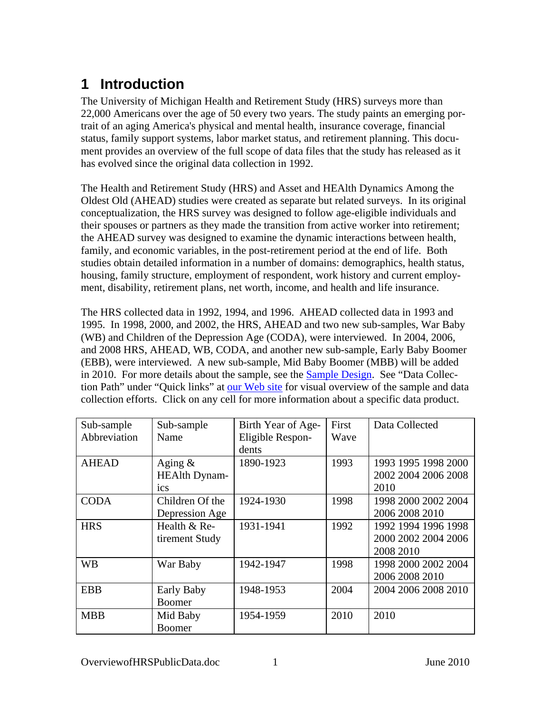# <span id="page-4-0"></span>**1 Introduction**

The University of Michigan Health and Retirement Study (HRS) surveys more than 22,000 Americans over the age of 50 every two years. The study paints an emerging portrait of an aging America's physical and mental health, insurance coverage, financial status, family support systems, labor market status, and retirement planning. This document provides an overview of the full scope of data files that the study has released as it has evolved since the original data collection in 1992.

The Health and Retirement Study (HRS) and Asset and HEAlth Dynamics Among the Oldest Old (AHEAD) studies were created as separate but related surveys. In its original conceptualization, the HRS survey was designed to follow age-eligible individuals and their spouses or partners as they made the transition from active worker into retirement; the AHEAD survey was designed to examine the dynamic interactions between health, family, and economic variables, in the post-retirement period at the end of life. Both studies obtain detailed information in a number of domains: demographics, health status, housing, family structure, employment of respondent, work history and current employment, disability, retirement plans, net worth, income, and health and life insurance.

The HRS collected data in 1992, 1994, and 1996. AHEAD collected data in 1993 and 1995. In 1998, 2000, and 2002, the HRS, AHEAD and two new sub-samples, War Baby (WB) and Children of the Depression Age (CODA), were interviewed. In 2004, 2006, and 2008 HRS, AHEAD, WB, CODA, and another new sub-sample, Early Baby Boomer (EBB), were interviewed. A new sub-sample, Mid Baby Boomer (MBB) will be added in 2010. For more details about the sample, see the [Sample Design](#page-31-0). See "Data Collection Path" under "Quick links" at [our Web site](http://hrsonline.isr.umich.edu/) for visual overview of the sample and data collection efforts. Click on any cell for more information about a specific data product.

| Sub-sample   | Sub-sample           | Birth Year of Age- | First | Data Collected      |
|--------------|----------------------|--------------------|-------|---------------------|
| Abbreviation | Name                 | Eligible Respon-   | Wave  |                     |
|              |                      | dents              |       |                     |
| <b>AHEAD</b> | Aging $\&$           | 1890-1923          | 1993  | 1993 1995 1998 2000 |
|              | <b>HEAlth Dynam-</b> |                    |       | 2002 2004 2006 2008 |
|              | ics                  |                    |       | 2010                |
| <b>CODA</b>  | Children Of the      | 1924-1930          | 1998  | 1998 2000 2002 2004 |
|              | Depression Age       |                    |       | 2006 2008 2010      |
| <b>HRS</b>   | Health $&$ Re-       | 1931-1941          | 1992  | 1992 1994 1996 1998 |
|              | tirement Study       |                    |       | 2000 2002 2004 2006 |
|              |                      |                    |       | 2008 2010           |
| <b>WB</b>    | War Baby             | 1942-1947          | 1998  | 1998 2000 2002 2004 |
|              |                      |                    |       | 2006 2008 2010      |
| <b>EBB</b>   | Early Baby           | 1948-1953          | 2004  | 2004 2006 2008 2010 |
|              | <b>Boomer</b>        |                    |       |                     |
| <b>MBB</b>   | Mid Baby             | 1954-1959          | 2010  | 2010                |
|              | <b>Boomer</b>        |                    |       |                     |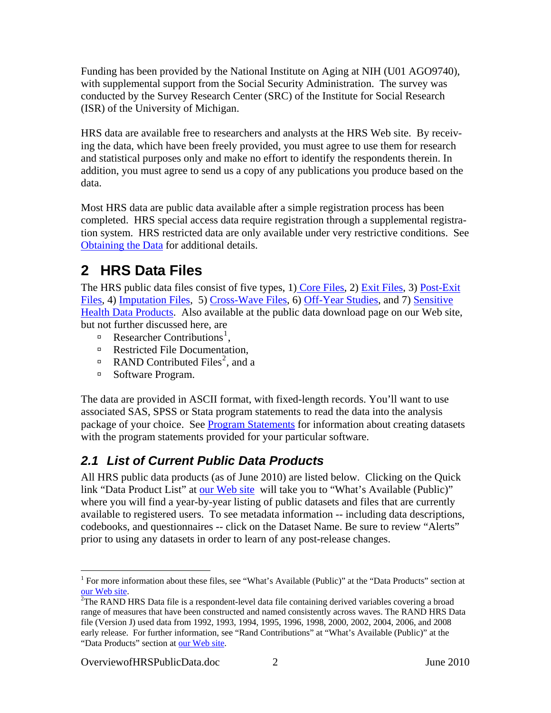<span id="page-5-0"></span>Funding has been provided by the National Institute on Aging at NIH (U01 AGO9740), with supplemental support from the Social Security Administration. The survey was conducted by the Survey Research Center (SRC) of the Institute for Social Research (ISR) of the University of Michigan.

HRS data are available free to researchers and analysts at the HRS Web site. By receiving the data, which have been freely provided, you must agree to use them for research and statistical purposes only and make no effort to identify the respondents therein. In addition, you must agree to send us a copy of any publications you produce based on the data.

Most HRS data are public data available after a simple registration process has been completed. HRS special access data require registration through a supplemental registration system. HRS restricted data are only available under very restrictive conditions. See [Obtaining the Data](#page-35-0) for additional details.

# **2 HRS Data Files**

The HRS public data files consist of five types, 1) [Core Files,](#page-7-0) 2) [Exit Files,](#page-12-0) 3) [Post-Exit](#page-12-0)  [Files](#page-12-0), 4) [Imputation Files](#page-12-0), 5) [Cross-Wave Files](#page-20-0), 6) [Off-Year Studies](#page-17-0), and 7) [Sensitive](#page-20-0)  [Health Data Products.](#page-20-0) Also available at the public data download page on our Web site, but not further discussed here, are

- **Researcher Contributions**<sup>[1](#page-5-1)</sup>,
- <sup> $\Box$ </sup> Restricted File Documentation,
- **RAND** Contributed Files<sup>[2](#page-5-2)</sup>, and a
- à Software Program.

The data are provided in ASCII format, with fixed-length records. You'll want to use associated SAS, SPSS or Stata program statements to read the data into the analysis package of your choice. See [Program Statements](#page-30-0) for information about creating datasets with the program statements provided for your particular software.

# *2.1 List of Current Public Data Products*

All HRS public data products (as of June 2010) are listed below. Clicking on the Quick link "Data Product List" at [our Web site](http://hrsonline.isr.umich.edu/) will take you to "What's Available (Public)" where you will find a year-by-year listing of public datasets and files that are currently available to registered users. To see metadata information -- including data descriptions, codebooks, and questionnaires -- click on the Dataset Name. Be sure to review "Alerts" prior to using any datasets in order to learn of any post-release changes.

 $\overline{a}$ 

<sup>&</sup>lt;sup>1</sup> For more information about these files, see "What's Available (Public)" at the "Data Products" section at [our Web site](http://hrsonline.isr.umich.edu/index.php).

<span id="page-5-2"></span><span id="page-5-1"></span><sup>&</sup>lt;sup>2</sup>The RAND HRS Data file is a respondent-level data file containing derived variables covering a broad range of measures that have been constructed and named consistently across waves. The RAND HRS Data file (Version J) used data from 1992, 1993, 1994, 1995, 1996, 1998, 2000, 2002, 2004, 2006, and 2008 early release. For further information, see "Rand Contributions" at "What's Available (Public)" at the "Data Products" section at [our Web site](http://hrsonline.isr.umich.edu/index.php).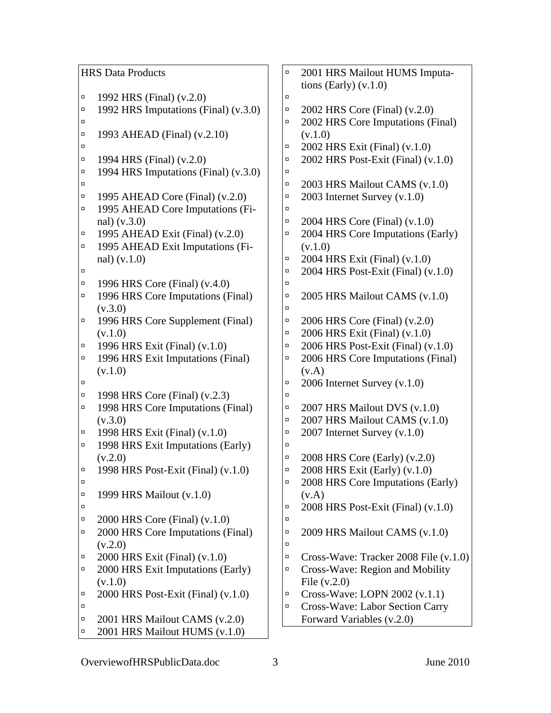|        | <b>HRS Data Products</b>               | $\Box$ | 2001 HRS Mailout HUMS Imputa-          |
|--------|----------------------------------------|--------|----------------------------------------|
|        |                                        |        | tions (Early) $(v.1.0)$                |
| $\Box$ | 1992 HRS (Final) (v.2.0)               | $\Box$ |                                        |
| $\Box$ | 1992 HRS Imputations (Final) (v.3.0)   | $\Box$ | 2002 HRS Core (Final) (v.2.0)          |
| α      |                                        | $\Box$ | 2002 HRS Core Imputations (Final)      |
| α      | 1993 AHEAD (Final) (v.2.10)            |        | (v.1.0)                                |
| п      |                                        | $\Box$ | 2002 HRS Exit (Final) (v.1.0)          |
| $\Box$ | 1994 HRS (Final) (v.2.0)               | $\Box$ | 2002 HRS Post-Exit (Final) (v.1.0)     |
| $\Box$ | 1994 HRS Imputations (Final) (v.3.0)   | $\Box$ |                                        |
| α      |                                        | $\Box$ | 2003 HRS Mailout CAMS (v.1.0)          |
| π      | 1995 AHEAD Core (Final) (v.2.0)        | $\Box$ | 2003 Internet Survey $(v.1.0)$         |
| $\Box$ | 1995 AHEAD Core Imputations (Fi-       | Ω.     |                                        |
|        | nal) (v.3.0)                           | $\Box$ | 2004 HRS Core (Final) (v.1.0)          |
| $\Box$ | 1995 AHEAD Exit (Final) (v.2.0)        | $\Box$ | 2004 HRS Core Imputations (Early)      |
| $\Box$ | 1995 AHEAD Exit Imputations (Fi-       |        | (v.1.0)                                |
|        | nal) (v.1.0)                           | $\Box$ | 2004 HRS Exit (Final) (v.1.0)          |
| п      |                                        | $\Box$ | 2004 HRS Post-Exit (Final) (v.1.0)     |
| $\Box$ | 1996 HRS Core (Final) (v.4.0)          | $\Box$ |                                        |
| $\Box$ | 1996 HRS Core Imputations (Final)      | $\Box$ | 2005 HRS Mailout CAMS (v.1.0)          |
|        | (v.3.0)                                | $\Box$ |                                        |
| π      | 1996 HRS Core Supplement (Final)       | $\Box$ | 2006 HRS Core (Final) (v.2.0)          |
|        | (v.1.0)                                | α      | 2006 HRS Exit (Final) (v.1.0)          |
| α      | 1996 HRS Exit (Final) (v.1.0)          | $\Box$ | 2006 HRS Post-Exit (Final) (v.1.0)     |
| $\Box$ | 1996 HRS Exit Imputations (Final)      | $\Box$ | 2006 HRS Core Imputations (Final)      |
|        | (v.1.0)                                |        | (v.A)                                  |
| α      |                                        | $\Box$ | 2006 Internet Survey (v.1.0)           |
| $\Box$ | 1998 HRS Core (Final) (v.2.3)          | $\Box$ |                                        |
| $\Box$ | 1998 HRS Core Imputations (Final)      | $\Box$ | 2007 HRS Mailout DVS (v.1.0)           |
|        | (v.3.0)                                | $\Box$ | 2007 HRS Mailout CAMS (v.1.0)          |
| $\Box$ | 1998 HRS Exit (Final) (v.1.0)          | $\Box$ | 2007 Internet Survey (v.1.0)           |
| $\Box$ | 1998 HRS Exit Imputations (Early)      | $\Box$ |                                        |
|        | (v.2.0)                                | $\Box$ | 2008 HRS Core (Early) (v.2.0)          |
| ц      | 1998 HRS Post-Exit (Final) (v.1.0)     | $\Box$ | 2008 HRS Exit (Early) (v.1.0)          |
| $\Box$ |                                        | $\Box$ | 2008 HRS Core Imputations (Early)      |
| α      | 1999 HRS Mailout (v.1.0)               |        | (v.A)                                  |
| α      |                                        | $\Box$ | 2008 HRS Post-Exit (Final) (v.1.0)     |
| α      | 2000 HRS Core (Final) (v.1.0)          | Ω.     |                                        |
| α      | 2000 HRS Core Imputations (Final)      | $\Box$ | 2009 HRS Mailout CAMS (v.1.0)          |
|        | (v.2.0)                                | $\Box$ |                                        |
| α      | 2000 HRS Exit (Final) (v.1.0)          | $\Box$ | Cross-Wave: Tracker 2008 File (v.1.0)  |
| $\Box$ | 2000 HRS Exit Imputations (Early)      | $\Box$ | Cross-Wave: Region and Mobility        |
|        | (v.1.0)                                |        | File $(v.2.0)$                         |
| α      | $2000$ HRS Post-Exit (Final) $(v.1.0)$ | $\Box$ | Cross-Wave: LOPN 2002 (v.1.1)          |
| α      |                                        | $\Box$ | <b>Cross-Wave: Labor Section Carry</b> |
| α      | 2001 HRS Mailout CAMS (v.2.0)          |        | Forward Variables (v.2.0)              |
| $\Box$ | 2001 HRS Mailout HUMS (v.1.0)          |        |                                        |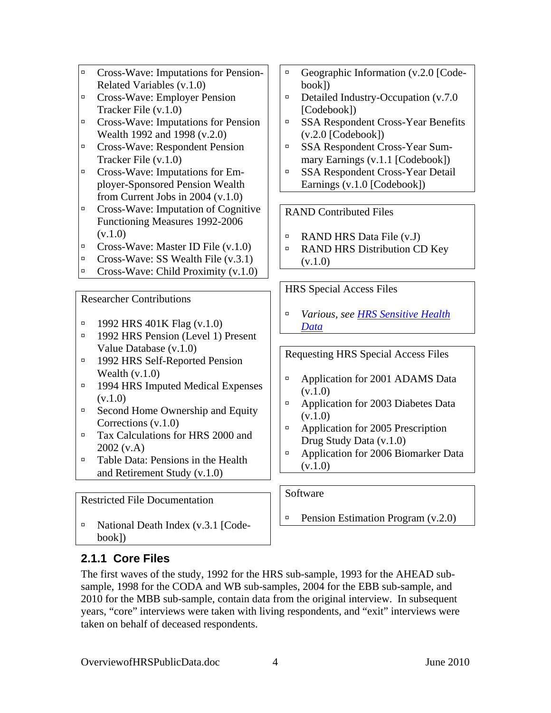- <span id="page-7-0"></span>à Cross-Wave: Imputations for Pension-Related Variables (v.1.0)
- à Cross-Wave: Employer Pension Tracker File (v.1.0)
- à Cross-Wave: Imputations for Pension Wealth 1992 and 1998 (v.2.0)
- à Cross-Wave: Respondent Pension Tracker File (v.1.0)
- à Cross-Wave: Imputations for Employer-Sponsored Pension Wealth from Current Jobs in 2004 (v.1.0)
- à Cross-Wave: Imputation of Cognitive Functioning Measures 1992-2006  $(v.1.0)$
- $\Box$  Cross-Wave: Master ID File (v.1.0)
- $\Box$  Cross-Wave: SS Wealth File (v.3.1)
- $\Box$  Cross-Wave: Child Proximity (v.1.0)

## Researcher Contributions

- $\Box$  1992 HRS 401K Flag (v.1.0)
- à 1992 HRS Pension (Level 1) Present Value Database (v.1.0)
- <sup>a</sup> 1992 HRS Self-Reported Pension Wealth (v.1.0)
- <sup>a</sup> 1994 HRS Imputed Medical Expenses  $(v.1.0)$
- $\Box$  Second Home Ownership and Equity Corrections (v.1.0)
- à Tax Calculations for HRS 2000 and 2002 (v.A)
- □ Table Data: Pensions in the Health and Retirement Study (v.1.0)

Restricted File Documentation

 $\Box$  National Death Index (v.3.1 [Codebook])

## $\Box$  Geographic Information (v.2.0 [Codebook])

- $\Box$  Detailed Industry-Occupation (v.7.0 [Codebook])
- à SSA Respondent Cross-Year Benefits (v.2.0 [Codebook])
- à SSA Respondent Cross-Year Summary Earnings (v.1.1 [Codebook])
- à SSA Respondent Cross-Year Detail Earnings (v.1.0 [Codebook])

## RAND Contributed Files

- $\Box$  RAND HRS Data File (v.J)
- <sup>□</sup> RAND HRS Distribution CD Key (v.1.0)

HRS Special Access Files

à *Various, see [HRS Sensitive Health](#page-36-0)  [Data](#page-36-0)*

Requesting HRS Special Access Files

- □ Application for 2001 ADAMS Data (v.1.0)
- <sup> $\Box$ </sup> Application for 2003 Diabetes Data  $(v.1.0)$
- $\Box$  Application for 2005 Prescription Drug Study Data (v.1.0)
- <sup>a</sup> Application for 2006 Biomarker Data (v.1.0)

Software

 $\blacksquare$  Pension Estimation Program (v.2.0)

# **2.1.1 Core Files**

The first waves of the study, 1992 for the HRS sub-sample, 1993 for the AHEAD subsample, 1998 for the CODA and WB sub-samples, 2004 for the EBB sub-sample, and 2010 for the MBB sub-sample, contain data from the original interview. In subsequent years, "core" interviews were taken with living respondents, and "exit" interviews were taken on behalf of deceased respondents.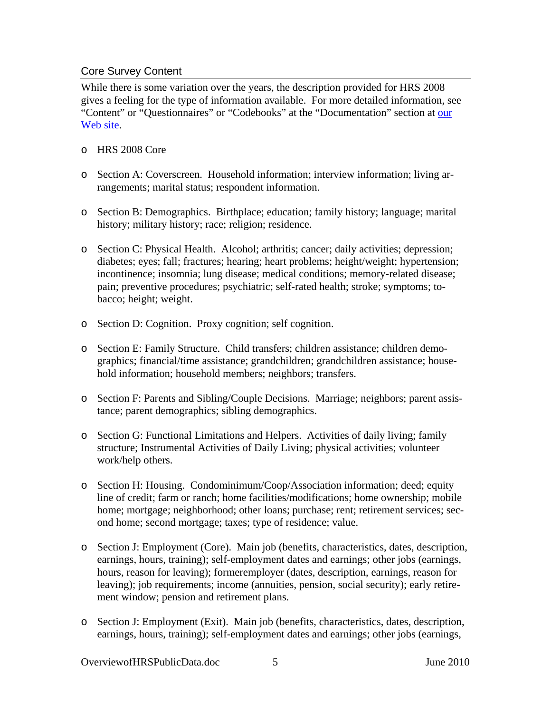### <span id="page-8-0"></span>Core Survey Content

While there is some variation over the years, the description provided for HRS 2008 gives a feeling for the type of information available. For more detailed information, see "Content" or "Questionnaires" or "Codebooks" at the "Documentation" section at our [Web site](http://hrsonline.isr.umich.edu/index.php).

- o HRS 2008 Core
- o Section A: Coverscreen. Household information; interview information; living arrangements; marital status; respondent information.
- o Section B: Demographics. Birthplace; education; family history; language; marital history; military history; race; religion; residence.
- o Section C: Physical Health. Alcohol; arthritis; cancer; daily activities; depression; diabetes; eyes; fall; fractures; hearing; heart problems; height/weight; hypertension; incontinence; insomnia; lung disease; medical conditions; memory-related disease; pain; preventive procedures; psychiatric; self-rated health; stroke; symptoms; tobacco; height; weight.
- o Section D: Cognition. Proxy cognition; self cognition.
- o Section E: Family Structure. Child transfers; children assistance; children demographics; financial/time assistance; grandchildren; grandchildren assistance; household information; household members; neighbors; transfers.
- o Section F: Parents and Sibling/Couple Decisions. Marriage; neighbors; parent assistance; parent demographics; sibling demographics.
- o Section G: Functional Limitations and Helpers. Activities of daily living; family structure; Instrumental Activities of Daily Living; physical activities; volunteer work/help others.
- o Section H: Housing. Condominimum/Coop/Association information; deed; equity line of credit; farm or ranch; home facilities/modifications; home ownership; mobile home; mortgage; neighborhood; other loans; purchase; rent; retirement services; second home; second mortgage; taxes; type of residence; value.
- o Section J: Employment (Core). Main job (benefits, characteristics, dates, description, earnings, hours, training); self-employment dates and earnings; other jobs (earnings, hours, reason for leaving); formeremployer (dates, description, earnings, reason for leaving); job requirements; income (annuities, pension, social security); early retirement window; pension and retirement plans.
- o Section J: Employment (Exit). Main job (benefits, characteristics, dates, description, earnings, hours, training); self-employment dates and earnings; other jobs (earnings,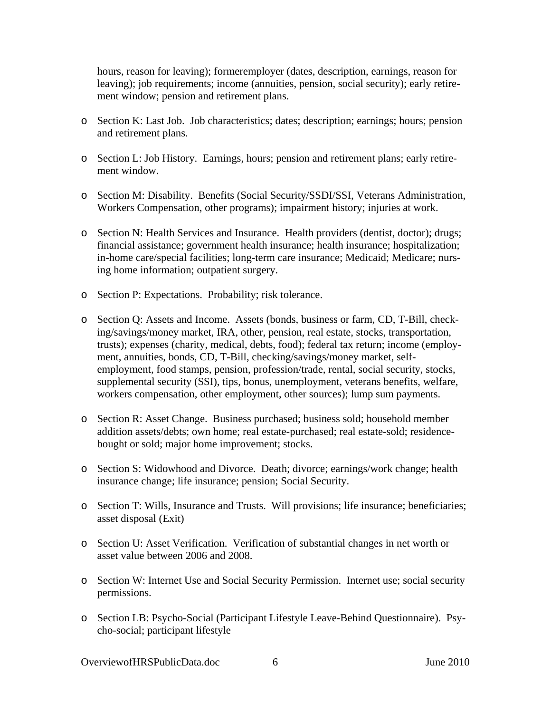hours, reason for leaving); formeremployer (dates, description, earnings, reason for leaving); job requirements; income (annuities, pension, social security); early retirement window; pension and retirement plans.

- o Section K: Last Job. Job characteristics; dates; description; earnings; hours; pension and retirement plans.
- o Section L: Job History. Earnings, hours; pension and retirement plans; early retirement window.
- o Section M: Disability. Benefits (Social Security/SSDI/SSI, Veterans Administration, Workers Compensation, other programs); impairment history; injuries at work.
- o Section N: Health Services and Insurance. Health providers (dentist, doctor); drugs; financial assistance; government health insurance; health insurance; hospitalization; in-home care/special facilities; long-term care insurance; Medicaid; Medicare; nursing home information; outpatient surgery.
- o Section P: Expectations. Probability; risk tolerance.
- o Section Q: Assets and Income. Assets (bonds, business or farm, CD, T-Bill, checking/savings/money market, IRA, other, pension, real estate, stocks, transportation, trusts); expenses (charity, medical, debts, food); federal tax return; income (employment, annuities, bonds, CD, T-Bill, checking/savings/money market, selfemployment, food stamps, pension, profession/trade, rental, social security, stocks, supplemental security (SSI), tips, bonus, unemployment, veterans benefits, welfare, workers compensation, other employment, other sources); lump sum payments.
- o Section R: Asset Change. Business purchased; business sold; household member addition assets/debts; own home; real estate-purchased; real estate-sold; residencebought or sold; major home improvement; stocks.
- o Section S: Widowhood and Divorce. Death; divorce; earnings/work change; health insurance change; life insurance; pension; Social Security.
- o Section T: Wills, Insurance and Trusts. Will provisions; life insurance; beneficiaries; asset disposal (Exit)
- o Section U: Asset Verification. Verification of substantial changes in net worth or asset value between 2006 and 2008.
- o Section W: Internet Use and Social Security Permission. Internet use; social security permissions.
- o Section LB: Psycho-Social (Participant Lifestyle Leave-Behind Questionnaire). Psycho-social; participant lifestyle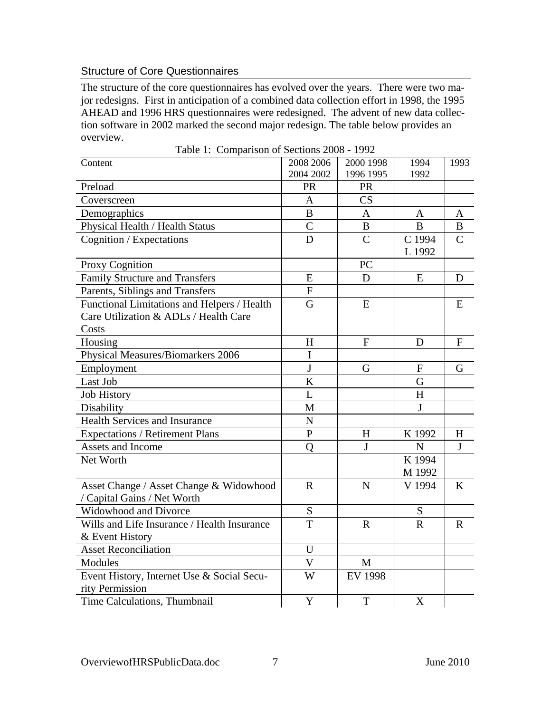### <span id="page-10-0"></span>Structure of Core Questionnaires

The structure of the core questionnaires has evolved over the years. There were two major redesigns. First in anticipation of a combined data collection effort in 1998, the 1995 AHEAD and 1996 HRS questionnaires were redesigned. The advent of new data collection software in 2002 marked the second major redesign. The table below provides an overview.

Table 1: Comparison of Sections 2008 - 1992

| $\frac{1}{200}$ 1. Comparison of Decription 200<br>Content                                    | 2008 2006      | 2000 1998      | 1994             | 1993          |
|-----------------------------------------------------------------------------------------------|----------------|----------------|------------------|---------------|
| Preload                                                                                       | 2004 2002      | 1996 1995      | 1992             |               |
|                                                                                               | PR             | PR<br>CS       |                  |               |
| Coverscreen                                                                                   | A              |                |                  |               |
| Demographics                                                                                  | B              | $\mathbf{A}$   | $\mathbf{A}$     | $\mathbf{A}$  |
| Physical Health / Health Status                                                               | $\overline{C}$ | B              | B                | B             |
| Cognition / Expectations                                                                      | D              | $\overline{C}$ | C 1994<br>L 1992 | $\mathcal{C}$ |
| Proxy Cognition                                                                               |                | PC             |                  |               |
| <b>Family Structure and Transfers</b>                                                         | E              | D              | E                | D             |
| Parents, Siblings and Transfers                                                               | ${\bf F}$      |                |                  |               |
| Functional Limitations and Helpers / Health<br>Care Utilization & ADLs / Health Care<br>Costs | G              | E              |                  | E             |
| Housing                                                                                       | H              | $\mathbf{F}$   | D                | F             |
| <b>Physical Measures/Biomarkers 2006</b>                                                      | $\overline{I}$ |                |                  |               |
| Employment                                                                                    | $\mathbf{J}$   | G              | $\mathbf{F}$     | G             |
| Last Job                                                                                      | K              |                | G                |               |
| <b>Job History</b>                                                                            | L              |                | H                |               |
| Disability                                                                                    | M              |                | J                |               |
| <b>Health Services and Insurance</b>                                                          | N              |                |                  |               |
| <b>Expectations / Retirement Plans</b>                                                        | $\overline{P}$ | H              | K 1992           | H             |
| Assets and Income                                                                             | Q              | $\mathbf{J}$   | $\mathbf N$      | $\mathbf{J}$  |
| Net Worth                                                                                     |                |                | K 1994<br>M 1992 |               |
| Asset Change / Asset Change & Widowhood<br>/ Capital Gains / Net Worth                        | $\mathbf R$    | $\mathbf N$    | V 1994           | $\bf K$       |
| Widowhood and Divorce                                                                         | S              |                | ${\mathbf S}$    |               |
| Wills and Life Insurance / Health Insurance<br>& Event History                                | T              | $\mathbf R$    | $\mathbf R$      | $\mathbf R$   |
| <b>Asset Reconciliation</b>                                                                   | U              |                |                  |               |
| Modules                                                                                       | $\overline{V}$ | M              |                  |               |
| Event History, Internet Use & Social Secu-<br>rity Permission                                 | W              | <b>EV 1998</b> |                  |               |
| Time Calculations, Thumbnail                                                                  | Y              | $\mathbf T$    | X                |               |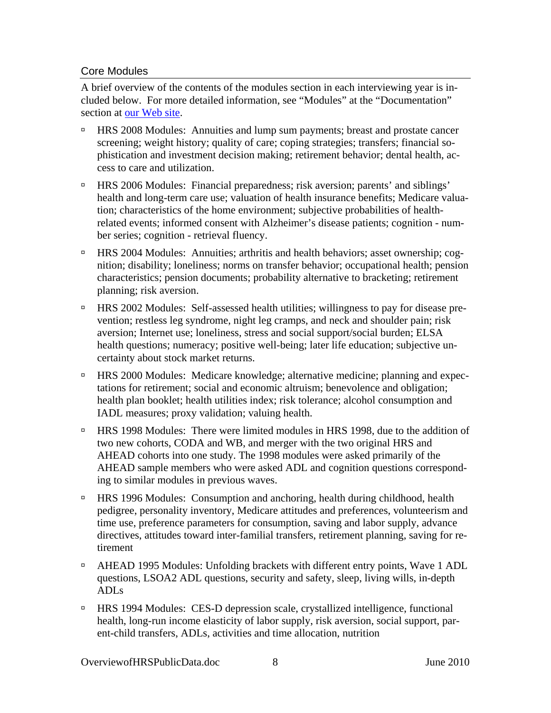### <span id="page-11-0"></span>Core Modules

A brief overview of the contents of the modules section in each interviewing year is included below. For more detailed information, see "Modules" at the "Documentation" section at [our Web site.](http://hrsonline.isr.umich.edu/)

- à HRS 2008 Modules: Annuities and lump sum payments; breast and prostate cancer screening; weight history; quality of care; coping strategies; transfers; financial sophistication and investment decision making; retirement behavior; dental health, access to care and utilization.
- à HRS 2006 Modules: Financial preparedness; risk aversion; parents' and siblings' health and long-term care use; valuation of health insurance benefits; Medicare valuation; characteristics of the home environment; subjective probabilities of healthrelated events; informed consent with Alzheimer's disease patients; cognition - number series; cognition - retrieval fluency.
- à HRS 2004 Modules: Annuities; arthritis and health behaviors; asset ownership; cognition; disability; loneliness; norms on transfer behavior; occupational health; pension characteristics; pension documents; probability alternative to bracketing; retirement planning; risk aversion.
- à HRS 2002 Modules: Self-assessed health utilities; willingness to pay for disease prevention; restless leg syndrome, night leg cramps, and neck and shoulder pain; risk aversion; Internet use; loneliness, stress and social support/social burden; ELSA health questions; numeracy; positive well-being; later life education; subjective uncertainty about stock market returns.
- <sup>n</sup> HRS 2000 Modules: Medicare knowledge; alternative medicine; planning and expectations for retirement; social and economic altruism; benevolence and obligation; health plan booklet; health utilities index; risk tolerance; alcohol consumption and IADL measures; proxy validation; valuing health.
- □ HRS 1998 Modules: There were limited modules in HRS 1998, due to the addition of two new cohorts, CODA and WB, and merger with the two original HRS and AHEAD cohorts into one study. The 1998 modules were asked primarily of the AHEAD sample members who were asked ADL and cognition questions corresponding to similar modules in previous waves.
- à HRS 1996 Modules: Consumption and anchoring, health during childhood, health pedigree, personality inventory, Medicare attitudes and preferences, volunteerism and time use, preference parameters for consumption, saving and labor supply, advance directives, attitudes toward inter-familial transfers, retirement planning, saving for retirement
- <sup> $\Box$ </sup> AHEAD 1995 Modules: Unfolding brackets with different entry points, Wave 1 ADL questions, LSOA2 ADL questions, security and safety, sleep, living wills, in-depth ADLs
- à HRS 1994 Modules: CES-D depression scale, crystallized intelligence, functional health, long-run income elasticity of labor supply, risk aversion, social support, parent-child transfers, ADLs, activities and time allocation, nutrition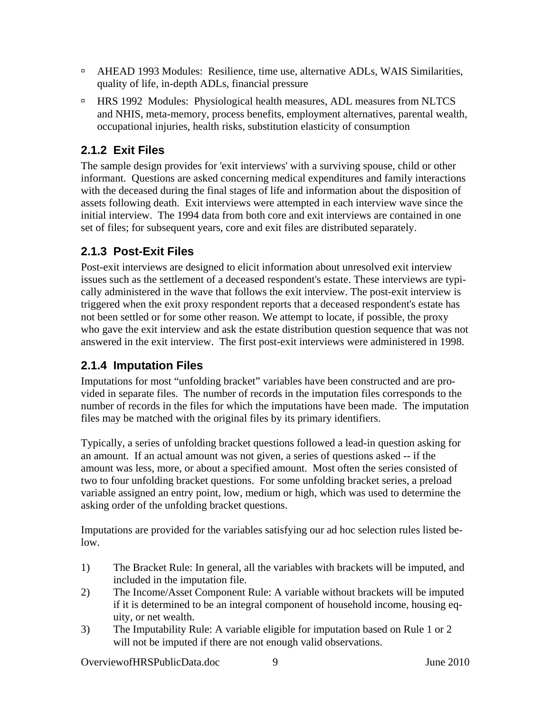- <span id="page-12-0"></span><sup> $\Box$ </sup> AHEAD 1993 Modules: Resilience, time use, alternative ADLs, WAIS Similarities, quality of life, in-depth ADLs, financial pressure
- à HRS 1992 Modules: Physiological health measures, ADL measures from NLTCS and NHIS, meta-memory, process benefits, employment alternatives, parental wealth, occupational injuries, health risks, substitution elasticity of consumption

# **2.1.2 Exit Files**

The sample design provides for 'exit interviews' with a surviving spouse, child or other informant. Questions are asked concerning medical expenditures and family interactions with the deceased during the final stages of life and information about the disposition of assets following death. Exit interviews were attempted in each interview wave since the initial interview. The 1994 data from both core and exit interviews are contained in one set of files; for subsequent years, core and exit files are distributed separately.

## **2.1.3 Post-Exit Files**

Post-exit interviews are designed to elicit information about unresolved exit interview issues such as the settlement of a deceased respondent's estate. These interviews are typically administered in the wave that follows the exit interview. The post-exit interview is triggered when the exit proxy respondent reports that a deceased respondent's estate has not been settled or for some other reason. We attempt to locate, if possible, the proxy who gave the exit interview and ask the estate distribution question sequence that was not answered in the exit interview. The first post-exit interviews were administered in 1998.

# **2.1.4 Imputation Files**

Imputations for most "unfolding bracket" variables have been constructed and are provided in separate files. The number of records in the imputation files corresponds to the number of records in the files for which the imputations have been made. The imputation files may be matched with the original files by its primary identifiers.

Typically, a series of unfolding bracket questions followed a lead-in question asking for an amount. If an actual amount was not given, a series of questions asked -- if the amount was less, more, or about a specified amount. Most often the series consisted of two to four unfolding bracket questions. For some unfolding bracket series, a preload variable assigned an entry point, low, medium or high, which was used to determine the asking order of the unfolding bracket questions.

Imputations are provided for the variables satisfying our ad hoc selection rules listed below.

- 1) The Bracket Rule: In general, all the variables with brackets will be imputed, and included in the imputation file.
- 2) The Income/Asset Component Rule: A variable without brackets will be imputed if it is determined to be an integral component of household income, housing equity, or net wealth.
- 3) The Imputability Rule: A variable eligible for imputation based on Rule 1 or 2 will not be imputed if there are not enough valid observations.

OverviewofHRSPublicData.doc 9 June 2010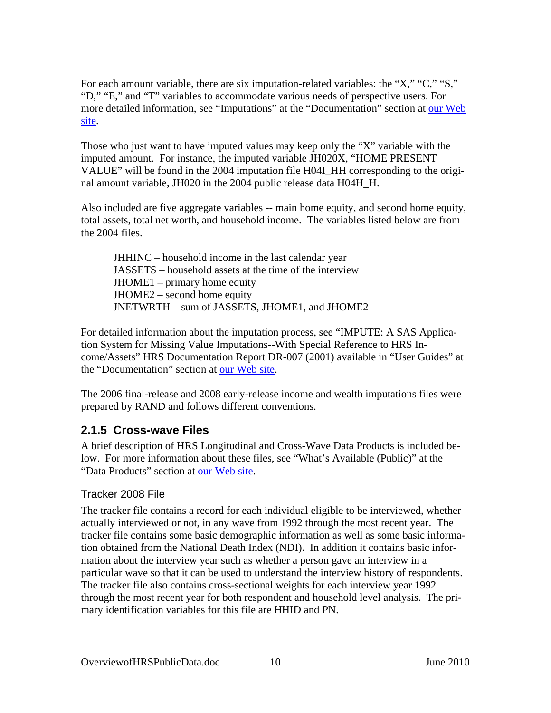<span id="page-13-0"></span>For each amount variable, there are six imputation-related variables: the "X," "C," "S," "D," "E," and "T" variables to accommodate various needs of perspective users. For more detailed information, see "Imputations" at the "Documentation" section at our Web [site.](http://hrsonline.isr.umich.edu/)

Those who just want to have imputed values may keep only the "X" variable with the imputed amount. For instance, the imputed variable JH020X, "HOME PRESENT VALUE" will be found in the 2004 imputation file H04I\_HH corresponding to the original amount variable, JH020 in the 2004 public release data H04H\_H.

Also included are five aggregate variables -- main home equity, and second home equity, total assets, total net worth, and household income. The variables listed below are from the 2004 files.

JHHINC – household income in the last calendar year JASSETS – household assets at the time of the interview JHOME1 – primary home equity JHOME2 – second home equity JNETWRTH – sum of JASSETS, JHOME1, and JHOME2

For detailed information about the imputation process, see "IMPUTE: A SAS Application System for Missing Value Imputations--With Special Reference to HRS Income/Assets" HRS Documentation Report DR-007 (2001) available in "User Guides" at the "Documentation" section at [our Web site](http://hrsonline.isr.umich.edu/).

The 2006 final-release and 2008 early-release income and wealth imputations files were prepared by RAND and follows different conventions.

## **2.1.5 Cross-wave Files**

A brief description of HRS Longitudinal and Cross-Wave Data Products is included below. For more information about these files, see "What's Available (Public)" at the "Data Products" section at [our Web site](http://hrsonline.isr.umich.edu/).

## Tracker 2008 File

The tracker file contains a record for each individual eligible to be interviewed, whether actually interviewed or not, in any wave from 1992 through the most recent year. The tracker file contains some basic demographic information as well as some basic information obtained from the National Death Index (NDI). In addition it contains basic information about the interview year such as whether a person gave an interview in a particular wave so that it can be used to understand the interview history of respondents. The tracker file also contains cross-sectional weights for each interview year 1992 through the most recent year for both respondent and household level analysis. The primary identification variables for this file are HHID and PN.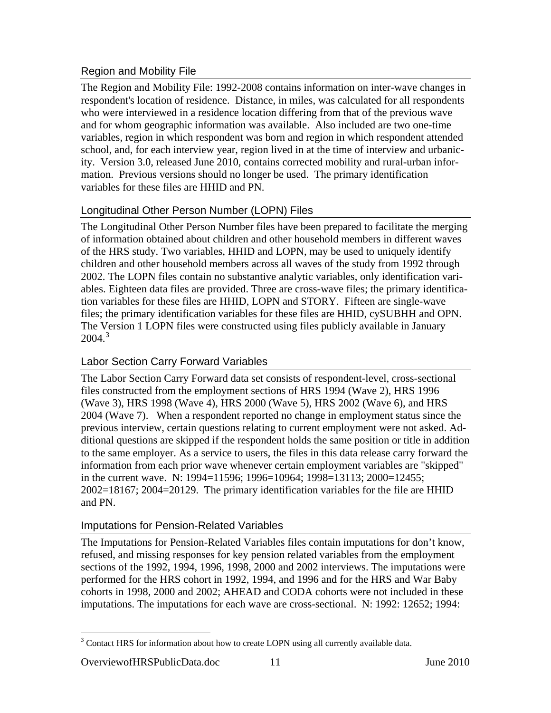## <span id="page-14-0"></span>Region and Mobility File

The Region and Mobility File: 1992-2008 contains information on inter-wave changes in respondent's location of residence. Distance, in miles, was calculated for all respondents who were interviewed in a residence location differing from that of the previous wave and for whom geographic information was available. Also included are two one-time variables, region in which respondent was born and region in which respondent attended school, and, for each interview year, region lived in at the time of interview and urbanicity. Version 3.0, released June 2010, contains corrected mobility and rural-urban information. Previous versions should no longer be used. The primary identification variables for these files are HHID and PN.

## Longitudinal Other Person Number (LOPN) Files

The Longitudinal Other Person Number files have been prepared to facilitate the merging of information obtained about children and other household members in different waves of the HRS study. Two variables, HHID and LOPN, may be used to uniquely identify children and other household members across all waves of the study from 1992 through 2002. The LOPN files contain no substantive analytic variables, only identification variables. Eighteen data files are provided. Three are cross-wave files; the primary identification variables for these files are HHID, LOPN and STORY. Fifteen are single-wave files; the primary identification variables for these files are HHID, cySUBHH and OPN. The Version 1 LOPN files were constructed using files publicly available in January  $2004.<sup>3</sup>$  $2004.<sup>3</sup>$  $2004.<sup>3</sup>$ 

## Labor Section Carry Forward Variables

The Labor Section Carry Forward data set consists of respondent-level, cross-sectional files constructed from the employment sections of HRS 1994 (Wave 2), HRS 1996 (Wave 3), HRS 1998 (Wave 4), HRS 2000 (Wave 5), HRS 2002 (Wave 6), and HRS 2004 (Wave 7). When a respondent reported no change in employment status since the previous interview, certain questions relating to current employment were not asked. Additional questions are skipped if the respondent holds the same position or title in addition to the same employer. As a service to users, the files in this data release carry forward the information from each prior wave whenever certain employment variables are "skipped" in the current wave. N: 1994=11596; 1996=10964; 1998=13113; 2000=12455; 2002=18167; 2004=20129. The primary identification variables for the file are HHID and PN.

## Imputations for Pension-Related Variables

The Imputations for Pension-Related Variables files contain imputations for don't know, refused, and missing responses for key pension related variables from the employment sections of the 1992, 1994, 1996, 1998, 2000 and 2002 interviews. The imputations were performed for the HRS cohort in 1992, 1994, and 1996 and for the HRS and War Baby cohorts in 1998, 2000 and 2002; AHEAD and CODA cohorts were not included in these imputations. The imputations for each wave are cross-sectional. N: 1992: 12652; 1994:

### OverviewofHRSPublicData.doc 11 June 2010

 $\overline{a}$ 

 $3$  Contact HRS for information about how to create LOPN using all currently available data.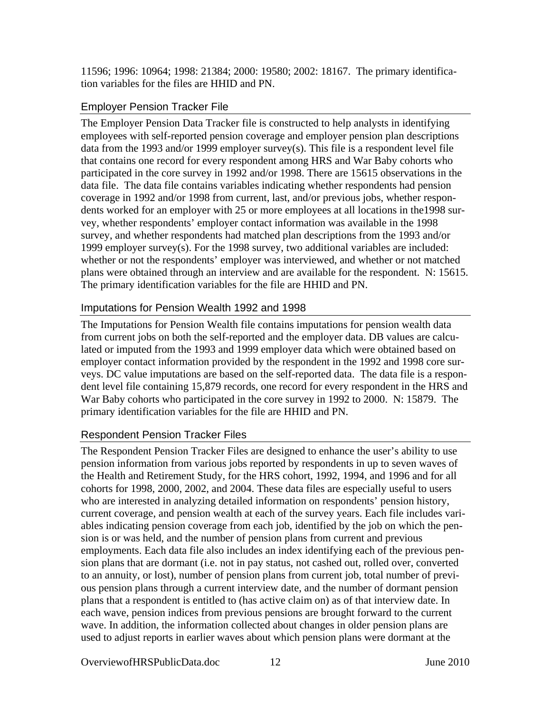<span id="page-15-0"></span>11596; 1996: 10964; 1998: 21384; 2000: 19580; 2002: 18167. The primary identification variables for the files are HHID and PN.

## Employer Pension Tracker File

The Employer Pension Data Tracker file is constructed to help analysts in identifying employees with self-reported pension coverage and employer pension plan descriptions data from the 1993 and/or 1999 employer survey(s). This file is a respondent level file that contains one record for every respondent among HRS and War Baby cohorts who participated in the core survey in 1992 and/or 1998. There are 15615 observations in the data file. The data file contains variables indicating whether respondents had pension coverage in 1992 and/or 1998 from current, last, and/or previous jobs, whether respondents worked for an employer with 25 or more employees at all locations in the1998 survey, whether respondents' employer contact information was available in the 1998 survey, and whether respondents had matched plan descriptions from the 1993 and/or 1999 employer survey(s). For the 1998 survey, two additional variables are included: whether or not the respondents' employer was interviewed, and whether or not matched plans were obtained through an interview and are available for the respondent. N: 15615. The primary identification variables for the file are HHID and PN.

## Imputations for Pension Wealth 1992 and 1998

The Imputations for Pension Wealth file contains imputations for pension wealth data from current jobs on both the self-reported and the employer data. DB values are calculated or imputed from the 1993 and 1999 employer data which were obtained based on employer contact information provided by the respondent in the 1992 and 1998 core surveys. DC value imputations are based on the self-reported data. The data file is a respondent level file containing 15,879 records, one record for every respondent in the HRS and War Baby cohorts who participated in the core survey in 1992 to 2000. N: 15879. The primary identification variables for the file are HHID and PN.

### Respondent Pension Tracker Files

The Respondent Pension Tracker Files are designed to enhance the user's ability to use pension information from various jobs reported by respondents in up to seven waves of the Health and Retirement Study, for the HRS cohort, 1992, 1994, and 1996 and for all cohorts for 1998, 2000, 2002, and 2004. These data files are especially useful to users who are interested in analyzing detailed information on respondents' pension history, current coverage, and pension wealth at each of the survey years. Each file includes variables indicating pension coverage from each job, identified by the job on which the pension is or was held, and the number of pension plans from current and previous employments. Each data file also includes an index identifying each of the previous pension plans that are dormant (i.e. not in pay status, not cashed out, rolled over, converted to an annuity, or lost), number of pension plans from current job, total number of previous pension plans through a current interview date, and the number of dormant pension plans that a respondent is entitled to (has active claim on) as of that interview date. In each wave, pension indices from previous pensions are brought forward to the current wave. In addition, the information collected about changes in older pension plans are used to adjust reports in earlier waves about which pension plans were dormant at the

OverviewofHRSPublicData.doc 12 June 2010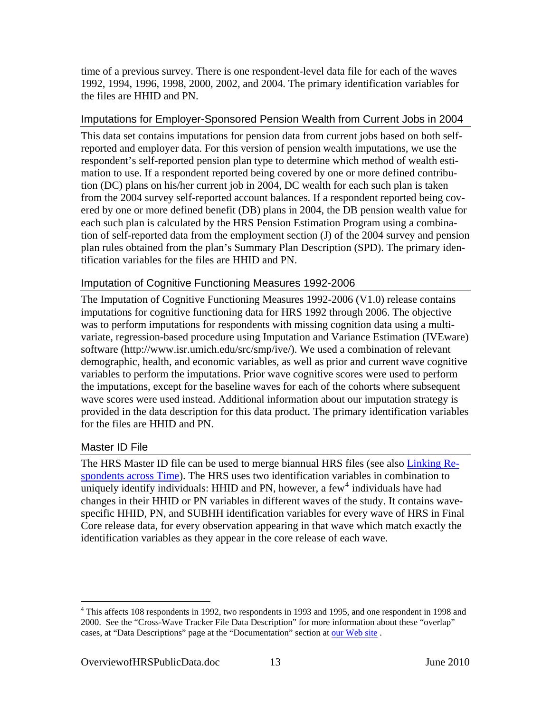<span id="page-16-0"></span>time of a previous survey. There is one respondent-level data file for each of the waves 1992, 1994, 1996, 1998, 2000, 2002, and 2004. The primary identification variables for the files are HHID and PN.

### Imputations for Employer-Sponsored Pension Wealth from Current Jobs in 2004

This data set contains imputations for pension data from current jobs based on both selfreported and employer data. For this version of pension wealth imputations, we use the respondent's self-reported pension plan type to determine which method of wealth estimation to use. If a respondent reported being covered by one or more defined contribution (DC) plans on his/her current job in 2004, DC wealth for each such plan is taken from the 2004 survey self-reported account balances. If a respondent reported being covered by one or more defined benefit (DB) plans in 2004, the DB pension wealth value for each such plan is calculated by the HRS Pension Estimation Program using a combination of self-reported data from the employment section (J) of the 2004 survey and pension plan rules obtained from the plan's Summary Plan Description (SPD). The primary identification variables for the files are HHID and PN.

## Imputation of Cognitive Functioning Measures 1992-2006

The Imputation of Cognitive Functioning Measures 1992-2006 (V1.0) release contains imputations for cognitive functioning data for HRS 1992 through 2006. The objective was to perform imputations for respondents with missing cognition data using a multivariate, regression-based procedure using Imputation and Variance Estimation (IVEware) software (http://www.isr.umich.edu/src/smp/ive/). We used a combination of relevant demographic, health, and economic variables, as well as prior and current wave cognitive variables to perform the imputations. Prior wave cognitive scores were used to perform the imputations, except for the baseline waves for each of the cohorts where subsequent wave scores were used instead. Additional information about our imputation strategy is provided in the data description for this data product. The primary identification variables for the files are HHID and PN.

### Master ID File

 $\overline{a}$ 

The HRS Master ID file can be used to merge biannual HRS files (see also [Linking Re](#page-32-0)[spondents across Time](#page-32-0)). The HRS uses two identification variables in combination to uniquely identify individuals: HHID and PN, however, a few<sup>[4](#page-16-0)</sup> individuals have had changes in their HHID or PN variables in different waves of the study. It contains wavespecific HHID, PN, and SUBHH identification variables for every wave of HRS in Final Core release data, for every observation appearing in that wave which match exactly the identification variables as they appear in the core release of each wave.

<sup>&</sup>lt;sup>4</sup> This affects 108 respondents in 1992, two respondents in 1993 and 1995, and one respondent in 1998 and 2000. See the "Cross-Wave Tracker File Data Description" for more information about these "overlap" cases, at "Data Descriptions" page at the "Documentation" section at our Web site.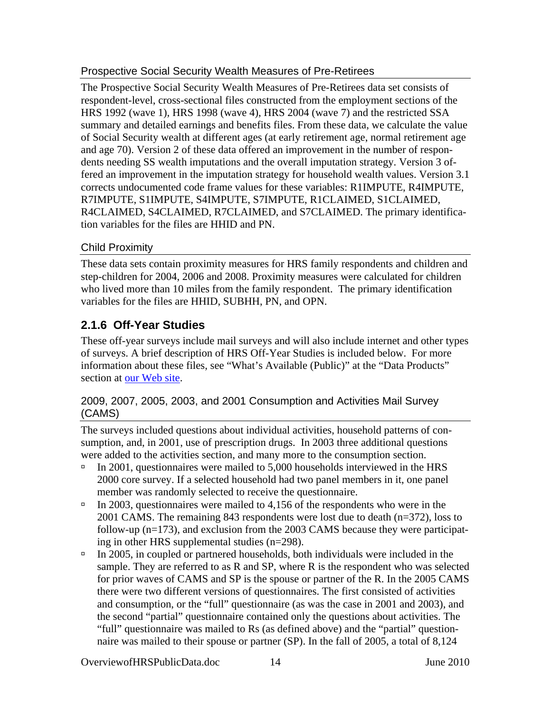## <span id="page-17-0"></span>Prospective Social Security Wealth Measures of Pre-Retirees

The Prospective Social Security Wealth Measures of Pre-Retirees data set consists of respondent-level, cross-sectional files constructed from the employment sections of the HRS 1992 (wave 1), HRS 1998 (wave 4), HRS 2004 (wave 7) and the restricted SSA summary and detailed earnings and benefits files. From these data, we calculate the value of Social Security wealth at different ages (at early retirement age, normal retirement age and age 70). Version 2 of these data offered an improvement in the number of respondents needing SS wealth imputations and the overall imputation strategy. Version 3 offered an improvement in the imputation strategy for household wealth values. Version 3.1 corrects undocumented code frame values for these variables: R1IMPUTE, R4IMPUTE, R7IMPUTE, S1IMPUTE, S4IMPUTE, S7IMPUTE, R1CLAIMED, S1CLAIMED, R4CLAIMED, S4CLAIMED, R7CLAIMED, and S7CLAIMED. The primary identification variables for the files are HHID and PN.

## Child Proximity

These data sets contain proximity measures for HRS family respondents and children and step-children for 2004, 2006 and 2008. Proximity measures were calculated for children who lived more than 10 miles from the family respondent. The primary identification variables for the files are HHID, SUBHH, PN, and OPN.

## **2.1.6 Off-Year Studies**

These off-year surveys include mail surveys and will also include internet and other types of surveys. A brief description of HRS Off-Year Studies is included below. For more information about these files, see "What's Available (Public)" at the "Data Products" section at [our Web site.](http://hrsonline.isr.umich.edu/)

## 2009, 2007, 2005, 2003, and 2001 Consumption and Activities Mail Survey (CAMS)

The surveys included questions about individual activities, household patterns of consumption, and, in 2001, use of prescription drugs. In 2003 three additional questions were added to the activities section, and many more to the consumption section.

- $\text{ln}$  2001, questionnaires were mailed to 5,000 households interviewed in the HRS 2000 core survey. If a selected household had two panel members in it, one panel member was randomly selected to receive the questionnaire.
- $\text{In } 2003$ , questionnaires were mailed to 4,156 of the respondents who were in the 2001 CAMS. The remaining 843 respondents were lost due to death (n=372), loss to follow-up (n=173), and exclusion from the 2003 CAMS because they were participating in other HRS supplemental studies (n=298).
- $\text{In } 2005$ , in coupled or partnered households, both individuals were included in the sample. They are referred to as R and SP, where R is the respondent who was selected for prior waves of CAMS and SP is the spouse or partner of the R. In the 2005 CAMS there were two different versions of questionnaires. The first consisted of activities and consumption, or the "full" questionnaire (as was the case in 2001 and 2003), and the second "partial" questionnaire contained only the questions about activities. The "full" questionnaire was mailed to Rs (as defined above) and the "partial" questionnaire was mailed to their spouse or partner (SP). In the fall of 2005, a total of 8,124

OverviewofHRSPublicData.doc 14 June 2010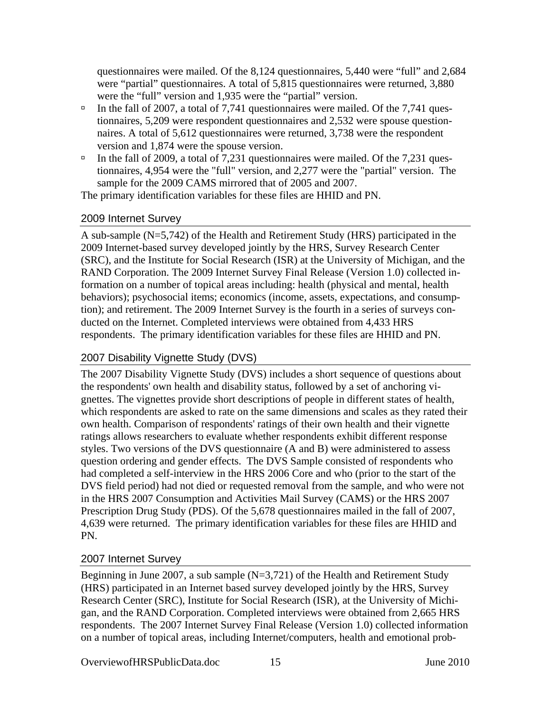<span id="page-18-0"></span>questionnaires were mailed. Of the 8,124 questionnaires, 5,440 were "full" and 2,684 were "partial" questionnaires. A total of 5,815 questionnaires were returned, 3,880 were the "full" version and 1,935 were the "partial" version.

- $\Box$  In the fall of 2007, a total of 7,741 questionnaires were mailed. Of the 7,741 questionnaires, 5,209 were respondent questionnaires and 2,532 were spouse questionnaires. A total of 5,612 questionnaires were returned, 3,738 were the respondent version and 1,874 were the spouse version.
- $\Box$  In the fall of 2009, a total of 7,231 questionnaires were mailed. Of the 7,231 questionnaires, 4,954 were the "full" version, and 2,277 were the "partial" version. The sample for the 2009 CAMS mirrored that of 2005 and 2007.

The primary identification variables for these files are HHID and PN.

## 2009 Internet Survey

A sub-sample (N=5,742) of the Health and Retirement Study (HRS) participated in the 2009 Internet-based survey developed jointly by the HRS, Survey Research Center (SRC), and the Institute for Social Research (ISR) at the University of Michigan, and the RAND Corporation. The 2009 Internet Survey Final Release (Version 1.0) collected information on a number of topical areas including: health (physical and mental, health behaviors); psychosocial items; economics (income, assets, expectations, and consumption); and retirement. The 2009 Internet Survey is the fourth in a series of surveys conducted on the Internet. Completed interviews were obtained from 4,433 HRS respondents. The primary identification variables for these files are HHID and PN.

## 2007 Disability Vignette Study (DVS)

The 2007 Disability Vignette Study (DVS) includes a short sequence of questions about the respondents' own health and disability status, followed by a set of anchoring vignettes. The vignettes provide short descriptions of people in different states of health, which respondents are asked to rate on the same dimensions and scales as they rated their own health. Comparison of respondents' ratings of their own health and their vignette ratings allows researchers to evaluate whether respondents exhibit different response styles. Two versions of the DVS questionnaire (A and B) were administered to assess question ordering and gender effects. The DVS Sample consisted of respondents who had completed a self-interview in the HRS 2006 Core and who (prior to the start of the DVS field period) had not died or requested removal from the sample, and who were not in the HRS 2007 Consumption and Activities Mail Survey (CAMS) or the HRS 2007 Prescription Drug Study (PDS). Of the 5,678 questionnaires mailed in the fall of 2007, 4,639 were returned. The primary identification variables for these files are HHID and PN.

### 2007 Internet Survey

Beginning in June 2007, a sub sample (N=3,721) of the Health and Retirement Study (HRS) participated in an Internet based survey developed jointly by the HRS, Survey Research Center (SRC), Institute for Social Research (ISR), at the University of Michigan, and the RAND Corporation. Completed interviews were obtained from 2,665 HRS respondents. The 2007 Internet Survey Final Release (Version 1.0) collected information on a number of topical areas, including Internet/computers, health and emotional prob-

OverviewofHRSPublicData.doc 15 June 2010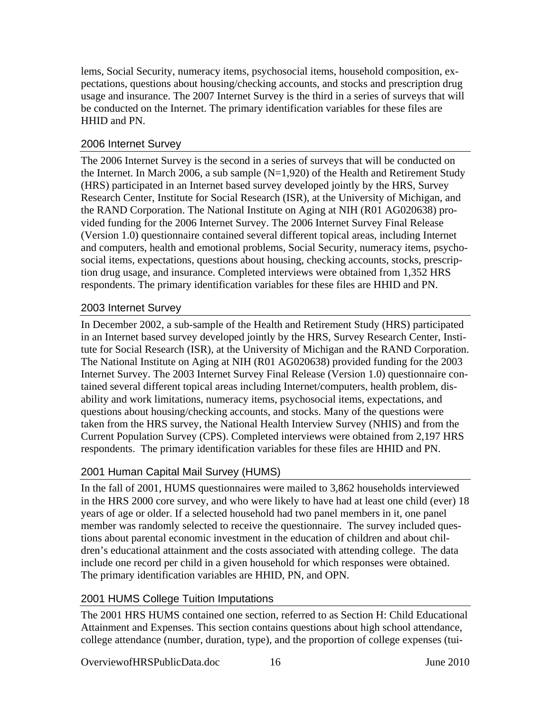<span id="page-19-0"></span>lems, Social Security, numeracy items, psychosocial items, household composition, expectations, questions about housing/checking accounts, and stocks and prescription drug usage and insurance. The 2007 Internet Survey is the third in a series of surveys that will be conducted on the Internet. The primary identification variables for these files are HHID and PN.

## 2006 Internet Survey

The 2006 Internet Survey is the second in a series of surveys that will be conducted on the Internet. In March 2006, a sub sample  $(N=1,920)$  of the Health and Retirement Study (HRS) participated in an Internet based survey developed jointly by the HRS, Survey Research Center, Institute for Social Research (ISR), at the University of Michigan, and the RAND Corporation. The National Institute on Aging at NIH (R01 AG020638) provided funding for the 2006 Internet Survey. The 2006 Internet Survey Final Release (Version 1.0) questionnaire contained several different topical areas, including Internet and computers, health and emotional problems, Social Security, numeracy items, psychosocial items, expectations, questions about housing, checking accounts, stocks, prescription drug usage, and insurance. Completed interviews were obtained from 1,352 HRS respondents. The primary identification variables for these files are HHID and PN.

## 2003 Internet Survey

In December 2002, a sub-sample of the Health and Retirement Study (HRS) participated in an Internet based survey developed jointly by the HRS, Survey Research Center, Institute for Social Research (ISR), at the University of Michigan and the RAND Corporation. The National Institute on Aging at NIH (R01 AG020638) provided funding for the 2003 Internet Survey. The 2003 Internet Survey Final Release (Version 1.0) questionnaire contained several different topical areas including Internet/computers, health problem, disability and work limitations, numeracy items, psychosocial items, expectations, and questions about housing/checking accounts, and stocks. Many of the questions were taken from the HRS survey, the National Health Interview Survey (NHIS) and from the Current Population Survey (CPS). Completed interviews were obtained from 2,197 HRS respondents. The primary identification variables for these files are HHID and PN.

## 2001 Human Capital Mail Survey (HUMS)

In the fall of 2001, HUMS questionnaires were mailed to 3,862 households interviewed in the HRS 2000 core survey, and who were likely to have had at least one child (ever) 18 years of age or older. If a selected household had two panel members in it, one panel member was randomly selected to receive the questionnaire. The survey included questions about parental economic investment in the education of children and about children's educational attainment and the costs associated with attending college. The data include one record per child in a given household for which responses were obtained. The primary identification variables are HHID, PN, and OPN.

## 2001 HUMS College Tuition Imputations

The 2001 HRS HUMS contained one section, referred to as Section H: Child Educational Attainment and Expenses. This section contains questions about high school attendance, college attendance (number, duration, type), and the proportion of college expenses (tui-

OverviewofHRSPublicData.doc 16 16 June 2010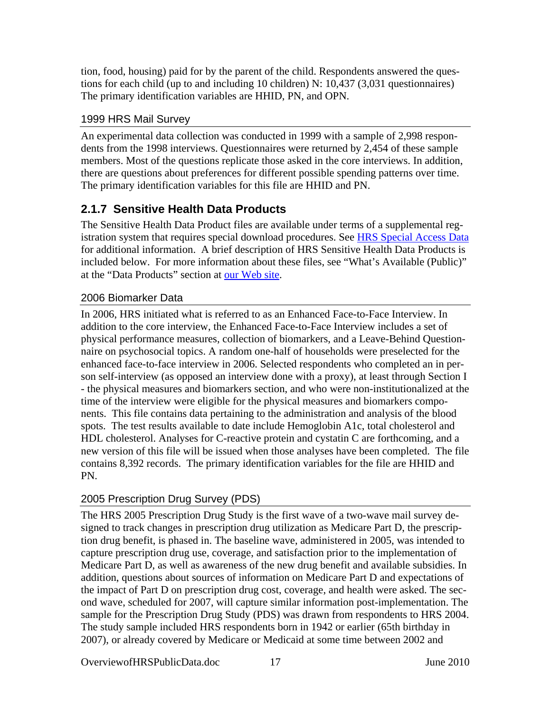<span id="page-20-0"></span>tion, food, housing) paid for by the parent of the child. Respondents answered the questions for each child (up to and including 10 children) N: 10,437 (3,031 questionnaires) The primary identification variables are HHID, PN, and OPN.

## 1999 HRS Mail Survey

An experimental data collection was conducted in 1999 with a sample of 2,998 respondents from the 1998 interviews. Questionnaires were returned by 2,454 of these sample members. Most of the questions replicate those asked in the core interviews. In addition, there are questions about preferences for different possible spending patterns over time. The primary identification variables for this file are HHID and PN.

## **2.1.7 Sensitive Health Data Products**

The Sensitive Health Data Product files are available under terms of a supplemental reg-istration system that requires special download procedures. See [HRS Special Access Data](#page-36-0) for additional information. A brief description of HRS Sensitive Health Data Products is included below. For more information about these files, see "What's Available (Public)" at the "Data Products" section at [our Web site.](http://hrsonline.isr.umich.edu/)

## 2006 Biomarker Data

In 2006, HRS initiated what is referred to as an Enhanced Face-to-Face Interview. In addition to the core interview, the Enhanced Face-to-Face Interview includes a set of physical performance measures, collection of biomarkers, and a Leave-Behind Questionnaire on psychosocial topics. A random one-half of households were preselected for the enhanced face-to-face interview in 2006. Selected respondents who completed an in person self-interview (as opposed an interview done with a proxy), at least through Section I - the physical measures and biomarkers section, and who were non-institutionalized at the time of the interview were eligible for the physical measures and biomarkers components. This file contains data pertaining to the administration and analysis of the blood spots. The test results available to date include Hemoglobin A1c, total cholesterol and HDL cholesterol. Analyses for C-reactive protein and cystatin C are forthcoming, and a new version of this file will be issued when those analyses have been completed. The file contains 8,392 records. The primary identification variables for the file are HHID and PN.

## 2005 Prescription Drug Survey (PDS)

The HRS 2005 Prescription Drug Study is the first wave of a two-wave mail survey designed to track changes in prescription drug utilization as Medicare Part D, the prescription drug benefit, is phased in. The baseline wave, administered in 2005, was intended to capture prescription drug use, coverage, and satisfaction prior to the implementation of Medicare Part D, as well as awareness of the new drug benefit and available subsidies. In addition, questions about sources of information on Medicare Part D and expectations of the impact of Part D on prescription drug cost, coverage, and health were asked. The second wave, scheduled for 2007, will capture similar information post-implementation. The sample for the Prescription Drug Study (PDS) was drawn from respondents to HRS 2004. The study sample included HRS respondents born in 1942 or earlier (65th birthday in 2007), or already covered by Medicare or Medicaid at some time between 2002 and

OverviewofHRSPublicData.doc 17 June 2010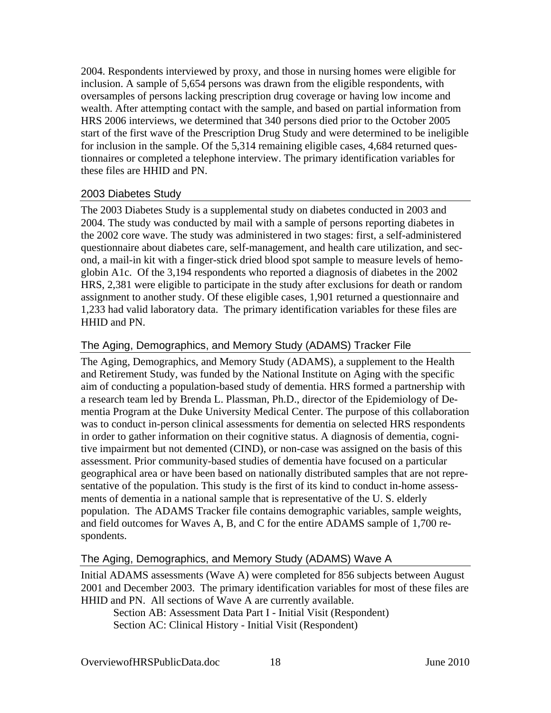<span id="page-21-0"></span>2004. Respondents interviewed by proxy, and those in nursing homes were eligible for inclusion. A sample of 5,654 persons was drawn from the eligible respondents, with oversamples of persons lacking prescription drug coverage or having low income and wealth. After attempting contact with the sample, and based on partial information from HRS 2006 interviews, we determined that 340 persons died prior to the October 2005 start of the first wave of the Prescription Drug Study and were determined to be ineligible for inclusion in the sample. Of the 5,314 remaining eligible cases, 4,684 returned questionnaires or completed a telephone interview. The primary identification variables for these files are HHID and PN.

## 2003 Diabetes Study

The 2003 Diabetes Study is a supplemental study on diabetes conducted in 2003 and 2004. The study was conducted by mail with a sample of persons reporting diabetes in the 2002 core wave. The study was administered in two stages: first, a self-administered questionnaire about diabetes care, self-management, and health care utilization, and second, a mail-in kit with a finger-stick dried blood spot sample to measure levels of hemoglobin A1c. Of the 3,194 respondents who reported a diagnosis of diabetes in the 2002 HRS, 2,381 were eligible to participate in the study after exclusions for death or random assignment to another study. Of these eligible cases, 1,901 returned a questionnaire and 1,233 had valid laboratory data. The primary identification variables for these files are HHID and PN.

## The Aging, Demographics, and Memory Study (ADAMS) Tracker File

The Aging, Demographics, and Memory Study (ADAMS), a supplement to the Health and Retirement Study, was funded by the National Institute on Aging with the specific aim of conducting a population-based study of dementia. HRS formed a partnership with a research team led by Brenda L. Plassman, Ph.D., director of the Epidemiology of Dementia Program at the Duke University Medical Center. The purpose of this collaboration was to conduct in-person clinical assessments for dementia on selected HRS respondents in order to gather information on their cognitive status. A diagnosis of dementia, cognitive impairment but not demented (CIND), or non-case was assigned on the basis of this assessment. Prior community-based studies of dementia have focused on a particular geographical area or have been based on nationally distributed samples that are not representative of the population. This study is the first of its kind to conduct in-home assessments of dementia in a national sample that is representative of the U. S. elderly population. The ADAMS Tracker file contains demographic variables, sample weights, and field outcomes for Waves A, B, and C for the entire ADAMS sample of 1,700 respondents.

### The Aging, Demographics, and Memory Study (ADAMS) Wave A

Initial ADAMS assessments (Wave A) were completed for 856 subjects between August 2001 and December 2003. The primary identification variables for most of these files are HHID and PN. All sections of Wave A are currently available.

Section AB: Assessment Data Part I - Initial Visit (Respondent) Section AC: Clinical History - Initial Visit (Respondent)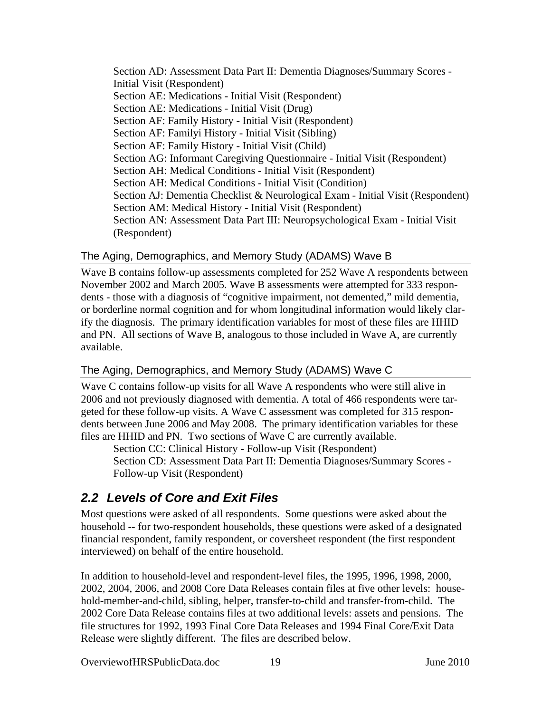<span id="page-22-0"></span>Section AD: Assessment Data Part II: Dementia Diagnoses/Summary Scores - Initial Visit (Respondent) Section AE: Medications - Initial Visit (Respondent) Section AE: Medications - Initial Visit (Drug) Section AF: Family History - Initial Visit (Respondent) Section AF: Familyi History - Initial Visit (Sibling) Section AF: Family History - Initial Visit (Child) Section AG: Informant Caregiving Questionnaire - Initial Visit (Respondent) Section AH: Medical Conditions - Initial Visit (Respondent) Section AH: Medical Conditions - Initial Visit (Condition) Section AJ: Dementia Checklist & Neurological Exam - Initial Visit (Respondent) Section AM: Medical History - Initial Visit (Respondent) Section AN: Assessment Data Part III: Neuropsychological Exam - Initial Visit (Respondent)

## The Aging, Demographics, and Memory Study (ADAMS) Wave B

Wave B contains follow-up assessments completed for 252 Wave A respondents between November 2002 and March 2005. Wave B assessments were attempted for 333 respondents - those with a diagnosis of "cognitive impairment, not demented," mild dementia, or borderline normal cognition and for whom longitudinal information would likely clarify the diagnosis. The primary identification variables for most of these files are HHID and PN. All sections of Wave B, analogous to those included in Wave A, are currently available.

## The Aging, Demographics, and Memory Study (ADAMS) Wave C

Wave C contains follow-up visits for all Wave A respondents who were still alive in 2006 and not previously diagnosed with dementia. A total of 466 respondents were targeted for these follow-up visits. A Wave C assessment was completed for 315 respondents between June 2006 and May 2008. The primary identification variables for these files are HHID and PN. Two sections of Wave C are currently available.

Section CC: Clinical History - Follow-up Visit (Respondent) Section CD: Assessment Data Part II: Dementia Diagnoses/Summary Scores - Follow-up Visit (Respondent)

# *2.2 Levels of Core and Exit Files*

Most questions were asked of all respondents. Some questions were asked about the household -- for two-respondent households, these questions were asked of a designated financial respondent, family respondent, or coversheet respondent (the first respondent interviewed) on behalf of the entire household.

In addition to household-level and respondent-level files, the 1995, 1996, 1998, 2000, 2002, 2004, 2006, and 2008 Core Data Releases contain files at five other levels: household-member-and-child, sibling, helper, transfer-to-child and transfer-from-child. The 2002 Core Data Release contains files at two additional levels: assets and pensions. The file structures for 1992, 1993 Final Core Data Releases and 1994 Final Core/Exit Data Release were slightly different. The files are described below.

OverviewofHRSPublicData.doc 19 June 2010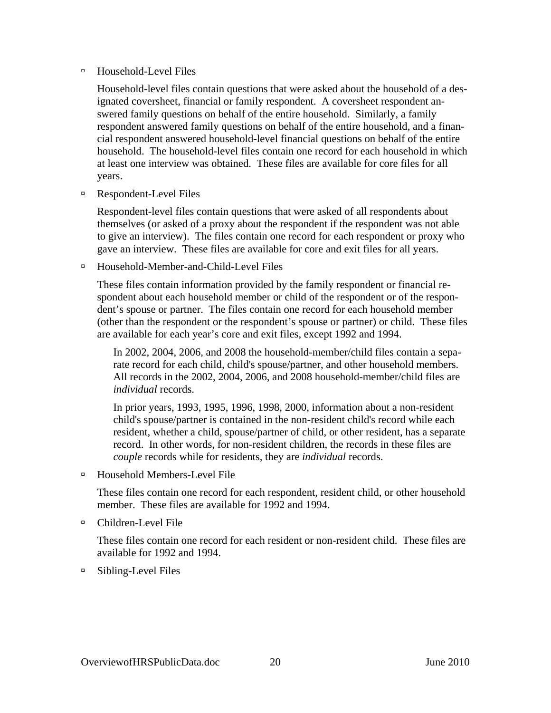### □ Household-Level Files

Household-level files contain questions that were asked about the household of a designated coversheet, financial or family respondent. A coversheet respondent answered family questions on behalf of the entire household. Similarly, a family respondent answered family questions on behalf of the entire household, and a financial respondent answered household-level financial questions on behalf of the entire household. The household-level files contain one record for each household in which at least one interview was obtained. These files are available for core files for all years.

<sup> $\Box$ </sup> Respondent-Level Files

Respondent-level files contain questions that were asked of all respondents about themselves (or asked of a proxy about the respondent if the respondent was not able to give an interview). The files contain one record for each respondent or proxy who gave an interview. These files are available for core and exit files for all years.

à Household-Member-and-Child-Level Files

These files contain information provided by the family respondent or financial respondent about each household member or child of the respondent or of the respondent's spouse or partner. The files contain one record for each household member (other than the respondent or the respondent's spouse or partner) or child. These files are available for each year's core and exit files, except 1992 and 1994.

In 2002, 2004, 2006, and 2008 the household-member/child files contain a separate record for each child, child's spouse/partner, and other household members. All records in the 2002, 2004, 2006, and 2008 household-member/child files are *individual* records.

In prior years, 1993, 1995, 1996, 1998, 2000, information about a non-resident child's spouse/partner is contained in the non-resident child's record while each resident, whether a child, spouse/partner of child, or other resident, has a separate record. In other words, for non-resident children, the records in these files are *couple* records while for residents, they are *individual* records.

□ Household Members-Level File

These files contain one record for each respondent, resident child, or other household member. These files are available for 1992 and 1994.

à Children-Level File

These files contain one record for each resident or non-resident child. These files are available for 1992 and 1994.

 $\Box$  Sibling-Level Files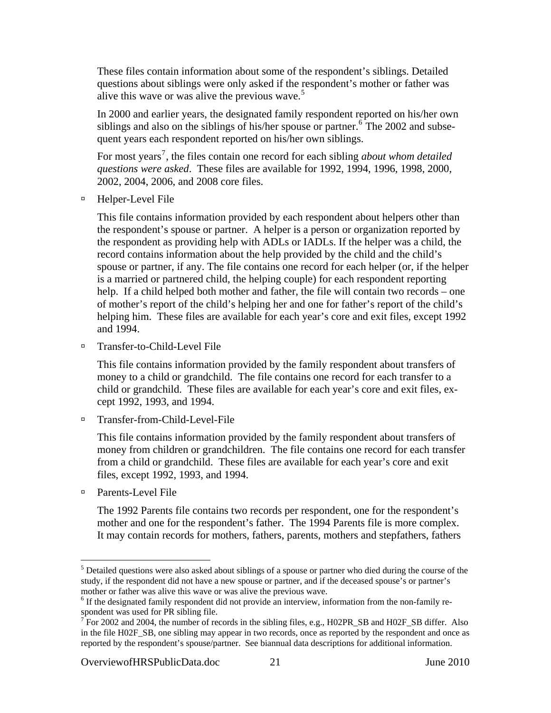<span id="page-24-0"></span>These files contain information about some of the respondent's siblings. Detailed questions about siblings were only asked if the respondent's mother or father was alive this wave or was alive the previous wave.<sup>[5](#page-24-0)</sup>

In 2000 and earlier years, the designated family respondent reported on his/her own siblings and also on the siblings of his/her spouse or partner.<sup>[6](#page-24-0)</sup> The 2002 and subsequent years each respondent reported on his/her own siblings.

For most years<sup>[7](#page-24-0)</sup>, the files contain one record for each sibling *about whom detailed questions were asked*. These files are available for 1992, 1994, 1996, 1998, 2000, 2002, 2004, 2006, and 2008 core files.

à Helper-Level File

This file contains information provided by each respondent about helpers other than the respondent's spouse or partner. A helper is a person or organization reported by the respondent as providing help with ADLs or IADLs. If the helper was a child, the record contains information about the help provided by the child and the child's spouse or partner, if any. The file contains one record for each helper (or, if the helper is a married or partnered child, the helping couple) for each respondent reporting help. If a child helped both mother and father, the file will contain two records – one of mother's report of the child's helping her and one for father's report of the child's helping him. These files are available for each year's core and exit files, except 1992 and 1994.

à Transfer-to-Child-Level File

This file contains information provided by the family respondent about transfers of money to a child or grandchild. The file contains one record for each transfer to a child or grandchild. These files are available for each year's core and exit files, except 1992, 1993, and 1994.

□ Transfer-from-Child-Level-File

This file contains information provided by the family respondent about transfers of money from children or grandchildren. The file contains one record for each transfer from a child or grandchild. These files are available for each year's core and exit files, except 1992, 1993, and 1994.

à Parents-Level File

 $\overline{a}$ 

The 1992 Parents file contains two records per respondent, one for the respondent's mother and one for the respondent's father. The 1994 Parents file is more complex. It may contain records for mothers, fathers, parents, mothers and stepfathers, fathers

OverviewofHRSPublicData.doc 21 June 2010

<sup>&</sup>lt;sup>5</sup> Detailed questions were also asked about siblings of a spouse or partner who died during the course of the study, if the respondent did not have a new spouse or partner, and if the deceased spouse's or partner's mother or father was alive this wave or was alive the previous wave.

<sup>&</sup>lt;sup>6</sup> If the designated family respondent did not provide an interview, information from the non-family re-

spondent was used for PR sibling file.<br><sup>7</sup> For 2002 and 2004, the number of records in the sibling files, e.g., H02PR\_SB and H02F\_SB differ. Also in the file H02F\_SB, one sibling may appear in two records, once as reported by the respondent and once as reported by the respondent's spouse/partner. See biannual data descriptions for additional information.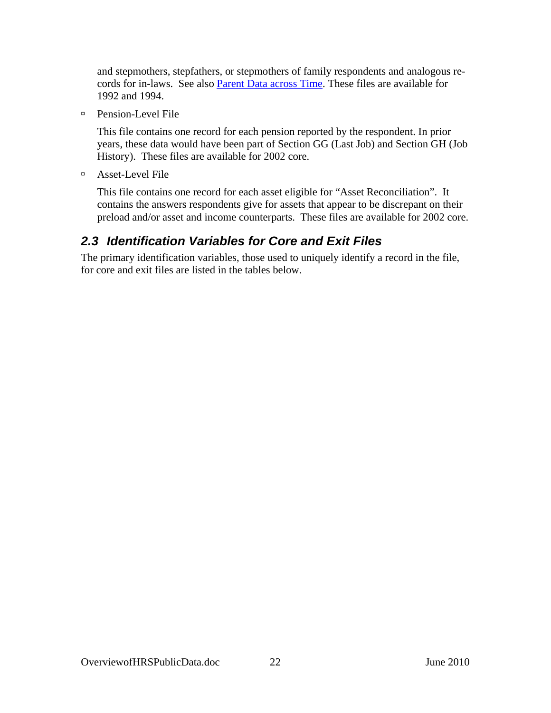<span id="page-25-0"></span>and stepmothers, stepfathers, or stepmothers of family respondents and analogous records for in-laws. See also [Parent Data across Time.](#page-33-0) These files are available for 1992 and 1994.

à Pension-Level File

This file contains one record for each pension reported by the respondent. In prior years, these data would have been part of Section GG (Last Job) and Section GH (Job History). These files are available for 2002 core.

à Asset-Level File

This file contains one record for each asset eligible for "Asset Reconciliation". It contains the answers respondents give for assets that appear to be discrepant on their preload and/or asset and income counterparts. These files are available for 2002 core.

# *2.3 Identification Variables for Core and Exit Files*

The primary identification variables, those used to uniquely identify a record in the file, for core and exit files are listed in the tables below.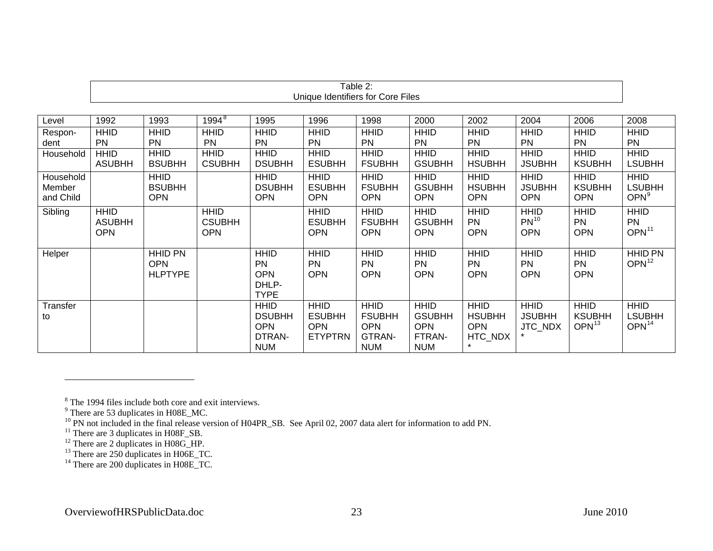|                                  |                                            |                                                |                                            |                                                                    |                                                              | Table 2:                                                           |                                                                    |                                                       |                                            |                                                   |                                                   |
|----------------------------------|--------------------------------------------|------------------------------------------------|--------------------------------------------|--------------------------------------------------------------------|--------------------------------------------------------------|--------------------------------------------------------------------|--------------------------------------------------------------------|-------------------------------------------------------|--------------------------------------------|---------------------------------------------------|---------------------------------------------------|
|                                  |                                            |                                                |                                            |                                                                    | Unique Identifiers for Core Files                            |                                                                    |                                                                    |                                                       |                                            |                                                   |                                                   |
|                                  |                                            |                                                |                                            |                                                                    |                                                              |                                                                    |                                                                    |                                                       |                                            |                                                   |                                                   |
| Level                            | 1992                                       | 1993                                           | $1994^8$                                   | 1995                                                               | 1996                                                         | 1998                                                               | 2000                                                               | 2002                                                  | 2004                                       | 2006                                              | 2008                                              |
| Respon-<br>dent                  | <b>HHID</b><br><b>PN</b>                   | <b>HHID</b><br><b>PN</b>                       | <b>HHID</b><br><b>PN</b>                   | <b>HHID</b><br><b>PN</b>                                           | <b>HHID</b><br><b>PN</b>                                     | <b>HHID</b><br><b>PN</b>                                           | <b>HHID</b><br><b>PN</b>                                           | <b>HHID</b><br><b>PN</b>                              | <b>HHID</b><br><b>PN</b>                   | <b>HHID</b><br><b>PN</b>                          | <b>HHID</b><br><b>PN</b>                          |
| Household                        | <b>HHID</b><br><b>ASUBHH</b>               | <b>HHID</b><br><b>BSUBHH</b>                   | <b>HHID</b><br><b>CSUBHH</b>               | <b>HHID</b><br><b>DSUBHH</b>                                       | <b>HHID</b><br><b>ESUBHH</b>                                 | <b>HHID</b><br><b>FSUBHH</b>                                       | <b>HHID</b><br><b>GSUBHH</b>                                       | <b>HHID</b><br><b>HSUBHH</b>                          | <b>HHID</b><br><b>JSUBHH</b>               | <b>HHID</b><br><b>KSUBHH</b>                      | <b>HHID</b><br><b>LSUBHH</b>                      |
| Household<br>Member<br>and Child |                                            | <b>HHID</b><br><b>BSUBHH</b><br><b>OPN</b>     |                                            | <b>HHID</b><br><b>DSUBHH</b><br><b>OPN</b>                         | <b>HHID</b><br><b>ESUBHH</b><br><b>OPN</b>                   | <b>HHID</b><br><b>FSUBHH</b><br><b>OPN</b>                         | <b>HHID</b><br><b>GSUBHH</b><br><b>OPN</b>                         | <b>HHID</b><br><b>HSUBHH</b><br><b>OPN</b>            | <b>HHID</b><br><b>JSUBHH</b><br><b>OPN</b> | <b>HHID</b><br><b>KSUBHH</b><br><b>OPN</b>        | <b>HHID</b><br><b>LSUBHH</b><br>OPN <sup>9</sup>  |
| Sibling                          | <b>HHID</b><br><b>ASUBHH</b><br><b>OPN</b> |                                                | <b>HHID</b><br><b>CSUBHH</b><br><b>OPN</b> |                                                                    | <b>HHID</b><br><b>ESUBHH</b><br><b>OPN</b>                   | <b>HHID</b><br><b>FSUBHH</b><br><b>OPN</b>                         | <b>HHID</b><br><b>GSUBHH</b><br><b>OPN</b>                         | <b>HHID</b><br><b>PN</b><br><b>OPN</b>                | <b>HHID</b><br>$PN^{10}$<br><b>OPN</b>     | <b>HHID</b><br><b>PN</b><br><b>OPN</b>            | <b>HHID</b><br><b>PN</b><br>OPN <sup>11</sup>     |
| Helper                           |                                            | <b>HHID PN</b><br><b>OPN</b><br><b>HLPTYPE</b> |                                            | <b>HHID</b><br><b>PN</b><br><b>OPN</b><br>DHLP-<br><b>TYPE</b>     | <b>HHID</b><br><b>PN</b><br><b>OPN</b>                       | <b>HHID</b><br><b>PN</b><br><b>OPN</b>                             | <b>HHID</b><br><b>PN</b><br><b>OPN</b>                             | <b>HHID</b><br><b>PN</b><br><b>OPN</b>                | <b>HHID</b><br><b>PN</b><br><b>OPN</b>     | <b>HHID</b><br><b>PN</b><br><b>OPN</b>            | <b>HHID PN</b><br>OPN <sup>12</sup>               |
| Transfer<br>to                   |                                            |                                                |                                            | <b>HHID</b><br><b>DSUBHH</b><br><b>OPN</b><br>DTRAN-<br><b>NUM</b> | <b>HHID</b><br><b>ESUBHH</b><br><b>OPN</b><br><b>ETYPTRN</b> | <b>HHID</b><br><b>FSUBHH</b><br><b>OPN</b><br>GTRAN-<br><b>NUM</b> | <b>HHID</b><br><b>GSUBHH</b><br><b>OPN</b><br>FTRAN-<br><b>NUM</b> | <b>HHID</b><br><b>HSUBHH</b><br><b>OPN</b><br>HTC_NDX | <b>HHID</b><br><b>JSUBHH</b><br>JTC_NDX    | <b>HHID</b><br><b>KSUBHH</b><br>OPN <sup>13</sup> | <b>HHID</b><br><b>LSUBHH</b><br>OPN <sup>14</sup> |

<span id="page-26-2"></span><span id="page-26-1"></span><span id="page-26-0"></span> $\degree$  The 1994 files include both core and exit interviews.<br>
There are 53 duplicates in H08E\_MC.

<span id="page-26-3"></span> $10$  PN not included in the final release version of H04PR\_SB. See April 02, 2007 data alert for information to add PN.

<span id="page-26-4"></span> $11$  There are 3 duplicates in H08F\_SB.

<span id="page-26-5"></span> $12$  There are 2 duplicates in H08G\_HP.

<span id="page-26-6"></span> $13$  There are 250 duplicates in H06E\_TC.

<span id="page-26-7"></span> $14$  There are 200 duplicates in H08E\_TC.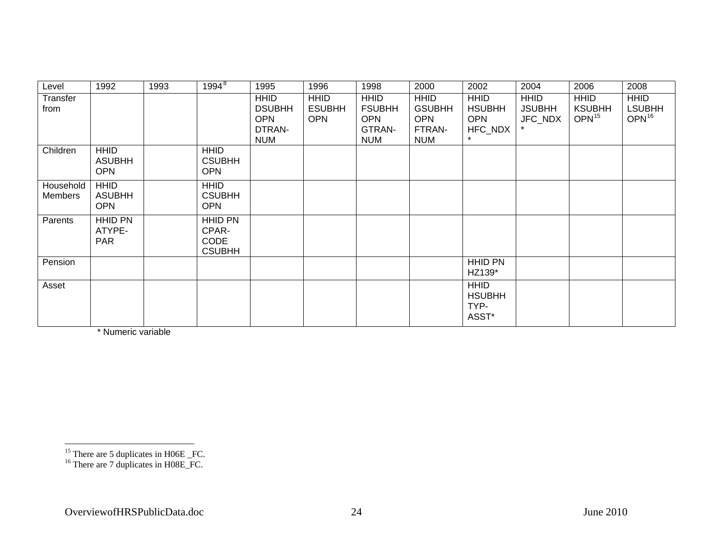| Level                | 1992                                       | 1993 | $1994^{8}$                                              | 1995                                                               | 1996                                       | 1998                                                               | 2000                                                               | 2002                                                  | 2004                                    | 2006                                              | 2008                                       |
|----------------------|--------------------------------------------|------|---------------------------------------------------------|--------------------------------------------------------------------|--------------------------------------------|--------------------------------------------------------------------|--------------------------------------------------------------------|-------------------------------------------------------|-----------------------------------------|---------------------------------------------------|--------------------------------------------|
| Transfer<br>from     |                                            |      |                                                         | <b>HHID</b><br><b>DSUBHH</b><br><b>OPN</b><br>DTRAN-<br><b>NUM</b> | <b>HHID</b><br><b>ESUBHH</b><br><b>OPN</b> | <b>HHID</b><br><b>FSUBHH</b><br><b>OPN</b><br>GTRAN-<br><b>NUM</b> | <b>HHID</b><br><b>GSUBHH</b><br><b>OPN</b><br>FTRAN-<br><b>NUM</b> | <b>HHID</b><br><b>HSUBHH</b><br><b>OPN</b><br>HFC_NDX | <b>HHID</b><br><b>JSUBHH</b><br>JFC_NDX | <b>HHID</b><br><b>KSUBHH</b><br>OPN <sup>15</sup> | <b>HHID</b><br><b>LSUBHH</b><br>$OPN^{16}$ |
| Children             | <b>HHID</b><br><b>ASUBHH</b><br><b>OPN</b> |      | <b>HHID</b><br><b>CSUBHH</b><br><b>OPN</b>              |                                                                    |                                            |                                                                    |                                                                    |                                                       |                                         |                                                   |                                            |
| Household<br>Members | <b>HHID</b><br><b>ASUBHH</b><br><b>OPN</b> |      | <b>HHID</b><br><b>CSUBHH</b><br><b>OPN</b>              |                                                                    |                                            |                                                                    |                                                                    |                                                       |                                         |                                                   |                                            |
| Parents              | <b>HHID PN</b><br>ATYPE-<br><b>PAR</b>     |      | <b>HHID PN</b><br>CPAR-<br><b>CODE</b><br><b>CSUBHH</b> |                                                                    |                                            |                                                                    |                                                                    |                                                       |                                         |                                                   |                                            |
| Pension              |                                            |      |                                                         |                                                                    |                                            |                                                                    |                                                                    | <b>HHID PN</b><br>HZ139*                              |                                         |                                                   |                                            |
| Asset                |                                            |      |                                                         |                                                                    |                                            |                                                                    |                                                                    | <b>HHID</b><br><b>HSUBHH</b><br>TYP-<br>ASST*         |                                         |                                                   |                                            |

\* Numeric variable

<span id="page-27-1"></span><span id="page-27-0"></span> $^{15}$  There are 5 duplicates in H06E \_FC.

 $16$  There are 7 duplicates in H08E\_FC.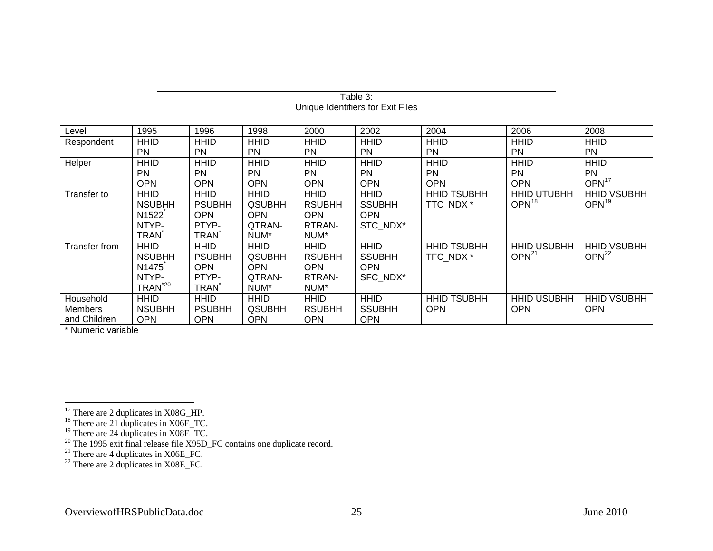|                |                     |               |               |               | Unique Identifiers for Exit Files |                    |                    |                    |
|----------------|---------------------|---------------|---------------|---------------|-----------------------------------|--------------------|--------------------|--------------------|
|                |                     |               |               |               |                                   |                    |                    |                    |
| Level          | 1995                | 1996          | 1998          | 2000          | 2002                              | 2004               | 2006               | 2008               |
| Respondent     | <b>HHID</b>         | <b>HHID</b>   | <b>HHID</b>   | <b>HHID</b>   | <b>HHID</b>                       | <b>HHID</b>        | <b>HHID</b>        | <b>HHID</b>        |
|                | <b>PN</b>           | <b>PN</b>     | <b>PN</b>     | <b>PN</b>     | <b>PN</b>                         | <b>PN</b>          | <b>PN</b>          | <b>PN</b>          |
| Helper         | <b>HHID</b>         | <b>HHID</b>   | <b>HHID</b>   | <b>HHID</b>   | <b>HHID</b>                       | <b>HHID</b>        | <b>HHID</b>        | <b>HHID</b>        |
|                | <b>PN</b>           | <b>PN</b>     | <b>PN</b>     | <b>PN</b>     | <b>PN</b>                         | <b>PN</b>          | <b>PN</b>          | <b>PN</b>          |
|                | <b>OPN</b>          | <b>OPN</b>    | <b>OPN</b>    | <b>OPN</b>    | <b>OPN</b>                        | <b>OPN</b>         | <b>OPN</b>         | OPN <sup>17</sup>  |
| Transfer to    | <b>HHID</b>         | <b>HHID</b>   | <b>HHID</b>   | <b>HHID</b>   | <b>HHID</b>                       | <b>HHID TSUBHH</b> | <b>HHID UTUBHH</b> | <b>HHID VSUBHH</b> |
|                | <b>NSUBHH</b>       | <b>PSUBHH</b> | <b>QSUBHH</b> | <b>RSUBHH</b> | <b>SSUBHH</b>                     | TTC NDX *          | $OPN^{18}$         | OPN <sup>19</sup>  |
|                | N <sub>1522</sub>   | <b>OPN</b>    | <b>OPN</b>    | <b>OPN</b>    | <b>OPN</b>                        |                    |                    |                    |
|                | NTYP-               | PTYP-         | QTRAN-        | RTRAN-        | STC NDX*                          |                    |                    |                    |
|                | <b>TRAN</b>         | <b>TRAN</b>   | NUM*          | NUM*          |                                   |                    |                    |                    |
| Transfer from  | <b>HHID</b>         | <b>HHID</b>   | <b>HHID</b>   | <b>HHID</b>   | <b>HHID</b>                       | <b>HHID TSUBHH</b> | <b>HHID USUBHH</b> | <b>HHID VSUBHH</b> |
|                | <b>NSUBHH</b>       | <b>PSUBHH</b> | <b>QSUBHH</b> | <b>RSUBHH</b> | <b>SSUBHH</b>                     | TFC NDX *          | OPN <sup>21</sup>  | OPN <sup>22</sup>  |
|                | N <sub>1475</sub>   | <b>OPN</b>    | <b>OPN</b>    | <b>OPN</b>    | <b>OPN</b>                        |                    |                    |                    |
|                | NTYP-               | PTYP-         | QTRAN-        | RTRAN-        | SFC NDX*                          |                    |                    |                    |
|                | TRAN <sup>*20</sup> | <b>TRAN</b>   | NUM*          | NUM*          |                                   |                    |                    |                    |
| Household      | <b>HHID</b>         | <b>HHID</b>   | <b>HHID</b>   | <b>HHID</b>   | <b>HHID</b>                       | <b>HHID TSUBHH</b> | <b>HHID USUBHH</b> | <b>HHID VSUBHH</b> |
| <b>Members</b> | <b>NSUBHH</b>       | <b>PSUBHH</b> | <b>QSUBHH</b> | <b>RSUBHH</b> | <b>SSUBHH</b>                     | <b>OPN</b>         | <b>OPN</b>         | <b>OPN</b>         |
| and Children   | <b>OPN</b>          | <b>OPN</b>    | <b>OPN</b>    | <b>OPN</b>    | <b>OPN</b>                        |                    |                    |                    |

Table 3:

\* Numeric variable

<span id="page-28-0"></span> $17$  There are 2 duplicates in X08G\_HP.

<span id="page-28-1"></span> $18$  There are 21 duplicates in X06E\_TC.

 $19$  There are 24 duplicates in X08E\_TC.

<span id="page-28-4"></span><span id="page-28-3"></span><span id="page-28-2"></span> $20$  The 1995 exit final release file X95D\_FC contains one duplicate record.

 $21$  There are 4 duplicates in X06E\_FC.

<span id="page-28-5"></span> $2<sup>22</sup>$  There are 2 duplicates in X08E\_FC.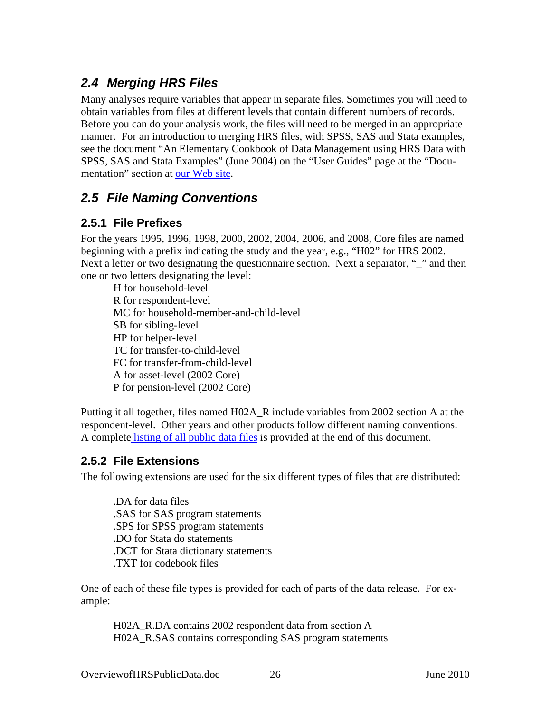# <span id="page-29-0"></span>*2.4 Merging HRS Files*

Many analyses require variables that appear in separate files. Sometimes you will need to obtain variables from files at different levels that contain different numbers of records. Before you can do your analysis work, the files will need to be merged in an appropriate manner. For an introduction to merging HRS files, with SPSS, SAS and Stata examples, see the document "An Elementary Cookbook of Data Management using HRS Data with SPSS, SAS and Stata Examples" (June 2004) on the "User Guides" page at the "Documentation" section at [our Web site](http://hrsonline.isr.umich.edu/).

# *2.5 File Naming Conventions*

## **2.5.1 File Prefixes**

For the years 1995, 1996, 1998, 2000, 2002, 2004, 2006, and 2008, Core files are named beginning with a prefix indicating the study and the year, e.g., "H02" for HRS 2002. Next a letter or two designating the questionnaire section. Next a separator, "<sup>"</sup> and then one or two letters designating the level:

H for household-level R for respondent-level MC for household-member-and-child-level SB for sibling-level HP for helper-level TC for transfer-to-child-level FC for transfer-from-child-level A for asset-level (2002 Core) P for pension-level (2002 Core)

Putting it all together, files named H02A\_R include variables from 2002 section A at the respondent-level. Other years and other products follow different naming conventions. A complete [listing of all public data files](#page-40-0) is provided at the end of this document.

## **2.5.2 File Extensions**

The following extensions are used for the six different types of files that are distributed:

.DA for data files .SAS for SAS program statements .SPS for SPSS program statements .DO for Stata do statements .DCT for Stata dictionary statements .TXT for codebook files

One of each of these file types is provided for each of parts of the data release. For example:

H02A\_R.DA contains 2002 respondent data from section A H02A\_R.SAS contains corresponding SAS program statements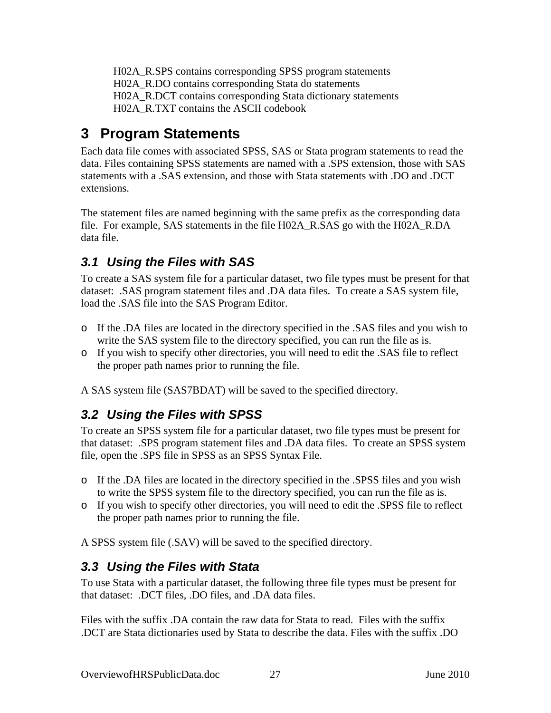<span id="page-30-0"></span>H02A\_R.SPS contains corresponding SPSS program statements H02A\_R.DO contains corresponding Stata do statements H02A\_R.DCT contains corresponding Stata dictionary statements H02A\_R.TXT contains the ASCII codebook

# **3 Program Statements**

Each data file comes with associated SPSS, SAS or Stata program statements to read the data. Files containing SPSS statements are named with a .SPS extension, those with SAS statements with a .SAS extension, and those with Stata statements with .DO and .DCT extensions.

The statement files are named beginning with the same prefix as the corresponding data file. For example, SAS statements in the file H02A\_R.SAS go with the H02A\_R.DA data file.

# *3.1 Using the Files with SAS*

To create a SAS system file for a particular dataset, two file types must be present for that dataset: .SAS program statement files and .DA data files. To create a SAS system file, load the .SAS file into the SAS Program Editor.

- o If the .DA files are located in the directory specified in the .SAS files and you wish to write the SAS system file to the directory specified, you can run the file as is.
- o If you wish to specify other directories, you will need to edit the .SAS file to reflect the proper path names prior to running the file.

A SAS system file (SAS7BDAT) will be saved to the specified directory.

# *3.2 Using the Files with SPSS*

To create an SPSS system file for a particular dataset, two file types must be present for that dataset: .SPS program statement files and .DA data files. To create an SPSS system file, open the .SPS file in SPSS as an SPSS Syntax File.

- o If the .DA files are located in the directory specified in the .SPSS files and you wish to write the SPSS system file to the directory specified, you can run the file as is.
- o If you wish to specify other directories, you will need to edit the .SPSS file to reflect the proper path names prior to running the file.

A SPSS system file (.SAV) will be saved to the specified directory.

# *3.3 Using the Files with Stata*

To use Stata with a particular dataset, the following three file types must be present for that dataset: .DCT files, .DO files, and .DA data files.

Files with the suffix .DA contain the raw data for Stata to read. Files with the suffix .DCT are Stata dictionaries used by Stata to describe the data. Files with the suffix .DO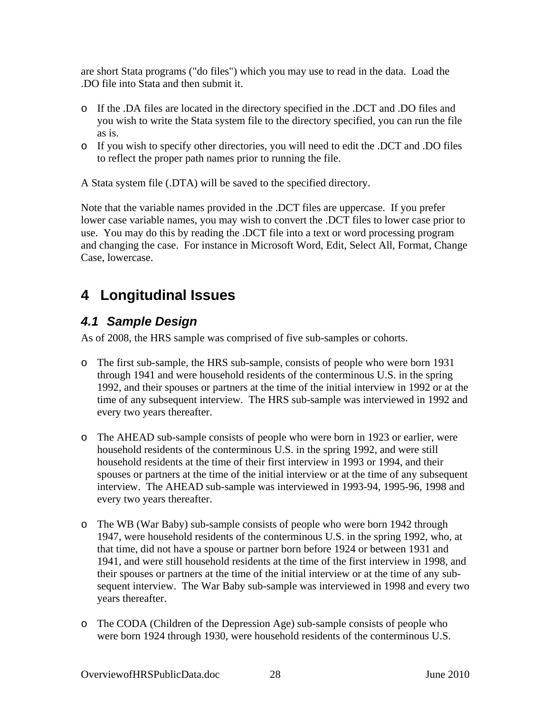<span id="page-31-0"></span>are short Stata programs ("do files") which you may use to read in the data. Load the .DO file into Stata and then submit it.

- o If the .DA files are located in the directory specified in the .DCT and .DO files and you wish to write the Stata system file to the directory specified, you can run the file as is.
- o If you wish to specify other directories, you will need to edit the .DCT and .DO files to reflect the proper path names prior to running the file.

A Stata system file (.DTA) will be saved to the specified directory.

Note that the variable names provided in the .DCT files are uppercase. If you prefer lower case variable names, you may wish to convert the .DCT files to lower case prior to use. You may do this by reading the .DCT file into a text or word processing program and changing the case. For instance in Microsoft Word, Edit, Select All, Format, Change Case, lowercase.

# **4 Longitudinal Issues**

## *4.1 Sample Design*

As of 2008, the HRS sample was comprised of five sub-samples or cohorts.

- o The first sub-sample, the HRS sub-sample, consists of people who were born 1931 through 1941 and were household residents of the conterminous U.S. in the spring 1992, and their spouses or partners at the time of the initial interview in 1992 or at the time of any subsequent interview. The HRS sub-sample was interviewed in 1992 and every two years thereafter.
- o The AHEAD sub-sample consists of people who were born in 1923 or earlier, were household residents of the conterminous U.S. in the spring 1992, and were still household residents at the time of their first interview in 1993 or 1994, and their spouses or partners at the time of the initial interview or at the time of any subsequent interview. The AHEAD sub-sample was interviewed in 1993-94, 1995-96, 1998 and every two years thereafter.
- o The WB (War Baby) sub-sample consists of people who were born 1942 through 1947, were household residents of the conterminous U.S. in the spring 1992, who, at that time, did not have a spouse or partner born before 1924 or between 1931 and 1941, and were still household residents at the time of the first interview in 1998, and their spouses or partners at the time of the initial interview or at the time of any subsequent interview. The War Baby sub-sample was interviewed in 1998 and every two years thereafter.
- o The CODA (Children of the Depression Age) sub-sample consists of people who were born 1924 through 1930, were household residents of the conterminous U.S.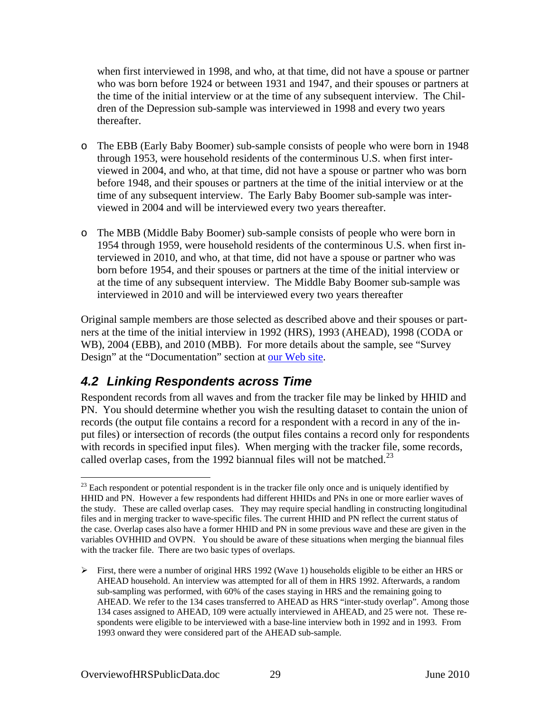<span id="page-32-0"></span>when first interviewed in 1998, and who, at that time, did not have a spouse or partner who was born before 1924 or between 1931 and 1947, and their spouses or partners at the time of the initial interview or at the time of any subsequent interview. The Children of the Depression sub-sample was interviewed in 1998 and every two years thereafter.

- o The EBB (Early Baby Boomer) sub-sample consists of people who were born in 1948 through 1953, were household residents of the conterminous U.S. when first interviewed in 2004, and who, at that time, did not have a spouse or partner who was born before 1948, and their spouses or partners at the time of the initial interview or at the time of any subsequent interview. The Early Baby Boomer sub-sample was interviewed in 2004 and will be interviewed every two years thereafter.
- o The MBB (Middle Baby Boomer) sub-sample consists of people who were born in 1954 through 1959, were household residents of the conterminous U.S. when first interviewed in 2010, and who, at that time, did not have a spouse or partner who was born before 1954, and their spouses or partners at the time of the initial interview or at the time of any subsequent interview. The Middle Baby Boomer sub-sample was interviewed in 2010 and will be interviewed every two years thereafter

Original sample members are those selected as described above and their spouses or partners at the time of the initial interview in 1992 (HRS), 1993 (AHEAD), 1998 (CODA or WB), 2004 (EBB), and 2010 (MBB). For more details about the sample, see "Survey Design" at the "Documentation" section at [our Web site](http://hrsonline.isr.umich.edu/).

# *4.2 Linking Respondents across Time*

Respondent records from all waves and from the tracker file may be linked by HHID and PN. You should determine whether you wish the resulting dataset to contain the union of records (the output file contains a record for a respondent with a record in any of the input files) or intersection of records (the output files contains a record only for respondents with records in specified input files). When merging with the tracker file, some records, called overlap cases, from the 1992 biannual files will not be matched.<sup>[23](#page-32-0)</sup>

 $\overline{a}$  $23$  Each respondent or potential respondent is in the tracker file only once and is uniquely identified by HHID and PN. However a few respondents had different HHIDs and PNs in one or more earlier waves of the study. These are called overlap cases. They may require special handling in constructing longitudinal files and in merging tracker to wave-specific files. The current HHID and PN reflect the current status of the case. Overlap cases also have a former HHID and PN in some previous wave and these are given in the variables OVHHID and OVPN. You should be aware of these situations when merging the biannual files with the tracker file. There are two basic types of overlaps.

 $\triangleright$  First, there were a number of original HRS 1992 (Wave 1) households eligible to be either an HRS or AHEAD household. An interview was attempted for all of them in HRS 1992. Afterwards, a random sub-sampling was performed, with 60% of the cases staying in HRS and the remaining going to AHEAD. We refer to the 134 cases transferred to AHEAD as HRS "inter-study overlap". Among those 134 cases assigned to AHEAD, 109 were actually interviewed in AHEAD, and 25 were not. These respondents were eligible to be interviewed with a base-line interview both in 1992 and in 1993. From 1993 onward they were considered part of the AHEAD sub-sample.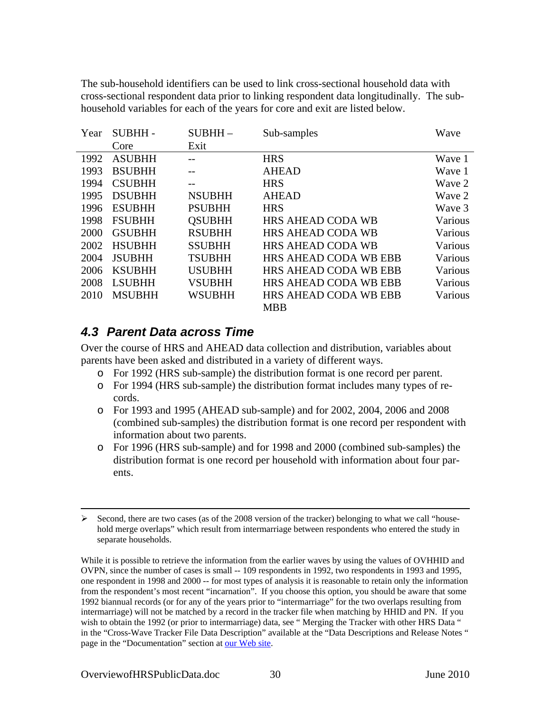<span id="page-33-0"></span>The sub-household identifiers can be used to link cross-sectional household data with cross-sectional respondent data prior to linking respondent data longitudinally. The subhousehold variables for each of the years for core and exit are listed below.

| Year | <b>SUBHH-</b> | $SUBHH -$     | Sub-samples                  | Wave    |
|------|---------------|---------------|------------------------------|---------|
|      | Core          | Exit          |                              |         |
| 1992 | <b>ASUBHH</b> |               | <b>HRS</b>                   | Wave 1  |
| 1993 | <b>BSUBHH</b> |               | <b>AHEAD</b>                 | Wave 1  |
| 1994 | <b>CSUBHH</b> |               | <b>HRS</b>                   | Wave 2  |
| 1995 | <b>DSUBHH</b> | <b>NSUBHH</b> | <b>AHEAD</b>                 | Wave 2  |
| 1996 | <b>ESUBHH</b> | <b>PSUBHH</b> | <b>HRS</b>                   | Wave 3  |
| 1998 | <b>FSUBHH</b> | <b>OSUBHH</b> | HRS AHEAD CODA WB            | Various |
| 2000 | <b>GSUBHH</b> | <b>RSUBHH</b> | <b>HRS AHEAD CODA WB</b>     | Various |
| 2002 | <b>HSUBHH</b> | <b>SSUBHH</b> | <b>HRS AHEAD CODA WB</b>     | Various |
| 2004 | <b>JSUBHH</b> | <b>TSUBHH</b> | <b>HRS AHEAD CODA WB EBB</b> | Various |
| 2006 | <b>KSUBHH</b> | <b>USUBHH</b> | <b>HRS AHEAD CODA WB EBB</b> | Various |
| 2008 | <b>LSUBHH</b> | <b>VSUBHH</b> | <b>HRS AHEAD CODA WB EBB</b> | Various |
| 2010 | <b>MSUBHH</b> | <b>WSUBHH</b> | <b>HRS AHEAD CODA WB EBB</b> | Various |
|      |               |               | <b>MBB</b>                   |         |

## *4.3 Parent Data across Time*

Over the course of HRS and AHEAD data collection and distribution, variables about parents have been asked and distributed in a variety of different ways.

- o For 1992 (HRS sub-sample) the distribution format is one record per parent.
- o For 1994 (HRS sub-sample) the distribution format includes many types of records.
- o For 1993 and 1995 (AHEAD sub-sample) and for 2002, 2004, 2006 and 2008 (combined sub-samples) the distribution format is one record per respondent with information about two parents.
- o For 1996 (HRS sub-sample) and for 1998 and 2000 (combined sub-samples) the distribution format is one record per household with information about four parents.

While it is possible to retrieve the information from the earlier waves by using the values of OVHHID and OVPN, since the number of cases is small -- 109 respondents in 1992, two respondents in 1993 and 1995, one respondent in 1998 and 2000 -- for most types of analysis it is reasonable to retain only the information from the respondent's most recent "incarnation". If you choose this option, you should be aware that some 1992 biannual records (or for any of the years prior to "intermarriage" for the two overlaps resulting from intermarriage) will not be matched by a record in the tracker file when matching by HHID and PN. If you wish to obtain the 1992 (or prior to intermarriage) data, see "Merging the Tracker with other HRS Data " in the "Cross-Wave Tracker File Data Description" available at the "Data Descriptions and Release Notes " page in the "Documentation" section at [our Web site](http://hrsonline.isr.umich.edu/).

 $\overline{a}$ 

 $\triangleright$  Second, there are two cases (as of the 2008 version of the tracker) belonging to what we call "household merge overlaps" which result from intermarriage between respondents who entered the study in separate households.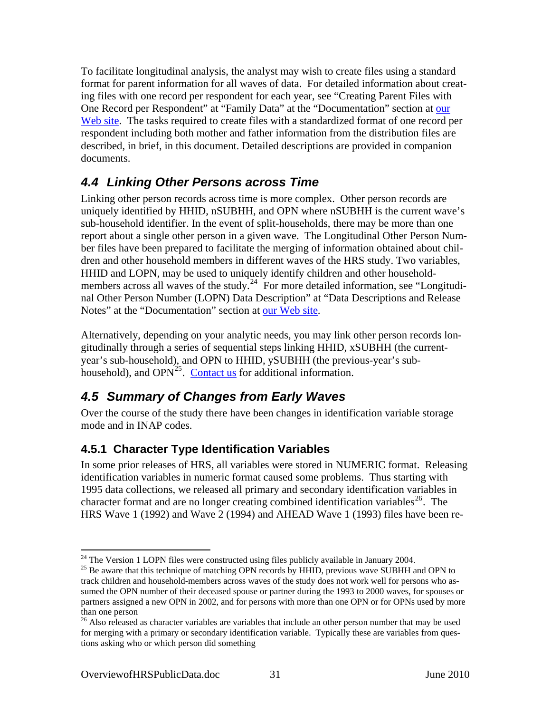<span id="page-34-0"></span>To facilitate longitudinal analysis, the analyst may wish to create files using a standard format for parent information for all waves of data. For detailed information about creating files with one record per respondent for each year, see "Creating Parent Files with One Record per Respondent" at "Family Data" at the "Documentation" section at our [Web site](http://hrsonline.isr.umich.edu/). The tasks required to create files with a standardized format of one record per respondent including both mother and father information from the distribution files are described, in brief, in this document. Detailed descriptions are provided in companion documents.

# *4.4 Linking Other Persons across Time*

Linking other person records across time is more complex. Other person records are uniquely identified by HHID, nSUBHH, and OPN where nSUBHH is the current wave's sub-household identifier. In the event of split-households, there may be more than one report about a single other person in a given wave. The Longitudinal Other Person Number files have been prepared to facilitate the merging of information obtained about children and other household members in different waves of the HRS study. Two variables, HHID and LOPN, may be used to uniquely identify children and other household-members across all waves of the study.<sup>[24](#page-34-0)</sup> For more detailed information, see "Longitudinal Other Person Number (LOPN) Data Description" at "Data Descriptions and Release Notes" at the "Documentation" section at [our Web site](http://hrsonline.isr.umich.edu/).

Alternatively, depending on your analytic needs, you may link other person records longitudinally through a series of sequential steps linking HHID, xSUBHH (the currentyear's sub-household), and OPN to HHID, ySUBHH (the previous-year's subhousehold), and  $OPN<sup>25</sup>$  $OPN<sup>25</sup>$  $OPN<sup>25</sup>$ . [Contact us](#page-40-0) for additional information.

# *4.5 Summary of Changes from Early Waves*

Over the course of the study there have been changes in identification variable storage mode and in INAP codes.

## **4.5.1 Character Type Identification Variables**

In some prior releases of HRS, all variables were stored in NUMERIC format. Releasing identification variables in numeric format caused some problems. Thus starting with 1995 data collections, we released all primary and secondary identification variables in character format and are no longer creating combined identification variables<sup>[26](#page-34-0)</sup>. The HRS Wave 1 (1992) and Wave 2 (1994) and AHEAD Wave 1 (1993) files have been re-

 $\overline{a}$  $24$  The Version 1 LOPN files were constructed using files publicly available in January 2004.

 $^{25}$  Be aware that this technique of matching OPN records by HHID, previous wave SUBHH and OPN to track children and household-members across waves of the study does not work well for persons who assumed the OPN number of their deceased spouse or partner during the 1993 to 2000 waves, for spouses or partners assigned a new OPN in 2002, and for persons with more than one OPN or for OPNs used by more than one person

<sup>&</sup>lt;sup>26</sup> Also released as character variables are variables that include an other person number that may be used for merging with a primary or secondary identification variable. Typically these are variables from questions asking who or which person did something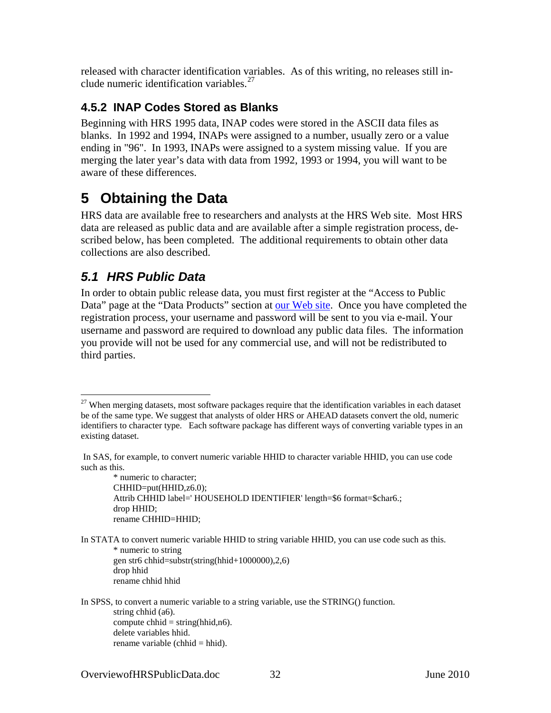<span id="page-35-0"></span>released with character identification variables. As of this writing, no releases still include numeric identification variables.[27](#page-35-0)

## **4.5.2 INAP Codes Stored as Blanks**

Beginning with HRS 1995 data, INAP codes were stored in the ASCII data files as blanks. In 1992 and 1994, INAPs were assigned to a number, usually zero or a value ending in "96". In 1993, INAPs were assigned to a system missing value. If you are merging the later year's data with data from 1992, 1993 or 1994, you will want to be aware of these differences.

# **5 Obtaining the Data**

HRS data are available free to researchers and analysts at the HRS Web site. Most HRS data are released as public data and are available after a simple registration process, described below, has been completed. The additional requirements to obtain other data collections are also described.

# *5.1 HRS Public Data*

 $\overline{a}$ 

In order to obtain public release data, you must first register at the "Access to Public Data" page at the "Data Products" section at [our Web site](http://hrsonline.isr.umich.edu/). Once you have completed the registration process, your username and password will be sent to you via e-mail. Your username and password are required to download any public data files. The information you provide will not be used for any commercial use, and will not be redistributed to third parties.

\* numeric to character; CHHID=put(HHID,z6.0); Attrib CHHID label=' HOUSEHOLD IDENTIFIER' length=\$6 format=\$char6.; drop HHID; rename CHHID=HHID;

In STATA to convert numeric variable HHID to string variable HHID, you can use code such as this. \* numeric to string gen str6 chhid=substr(string(hhid+1000000),2,6) drop hhid rename chhid hhid

In SPSS, to convert a numeric variable to a string variable, use the STRING() function. string chhid (a6). compute chhid  $=$  string(hhid,n6). delete variables hhid. rename variable (chhid = hhid).

 $27$  When merging datasets, most software packages require that the identification variables in each dataset be of the same type. We suggest that analysts of older HRS or AHEAD datasets convert the old, numeric identifiers to character type. Each software package has different ways of converting variable types in an existing dataset.

In SAS, for example, to convert numeric variable HHID to character variable HHID, you can use code such as this.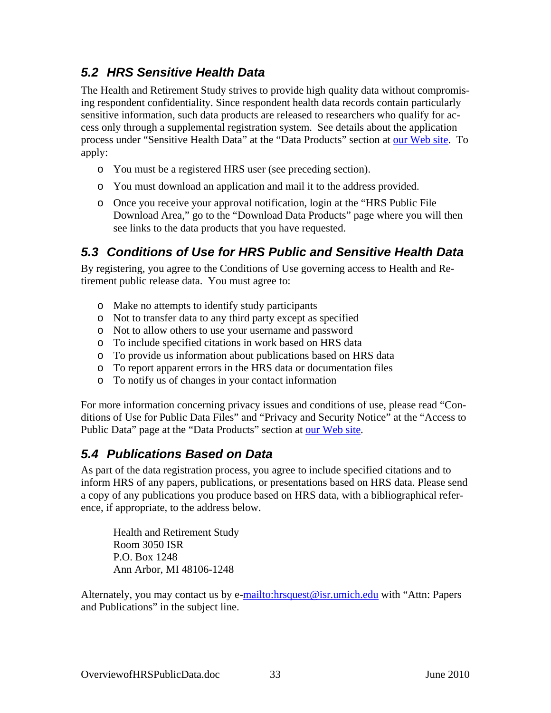# <span id="page-36-0"></span>*5.2 HRS Sensitive Health Data*

The Health and Retirement Study strives to provide high quality data without compromising respondent confidentiality. Since respondent health data records contain particularly sensitive information, such data products are released to researchers who qualify for access only through a supplemental registration system. See details about the application process under "Sensitive Health Data" at the "Data Products" section at [our Web site](http://hrsonline.isr.umich.edu/). To apply:

- o You must be a registered HRS user (see preceding section).
- o You must download an application and mail it to the address provided.
- o Once you receive your approval notification, login at the "HRS Public File Download Area," go to the "Download Data Products" page where you will then see links to the data products that you have requested.

# *5.3 Conditions of Use for HRS Public and Sensitive Health Data*

By registering, you agree to the Conditions of Use governing access to Health and Retirement public release data. You must agree to:

- o Make no attempts to identify study participants
- o Not to transfer data to any third party except as specified
- o Not to allow others to use your username and password
- o To include specified citations in work based on HRS data
- o To provide us information about publications based on HRS data
- o To report apparent errors in the HRS data or documentation files
- o To notify us of changes in your contact information

For more information concerning privacy issues and conditions of use, please read "Conditions of Use for Public Data Files" and "Privacy and Security Notice" at the "Access to Public Data" page at the "Data Products" section at [our Web site.](http://hrsonline.isr.umich.edu/)

# *5.4 Publications Based on Data*

As part of the data registration process, you agree to include specified citations and to inform HRS of any papers, publications, or presentations based on HRS data. Please send a copy of any publications you produce based on HRS data, with a bibliographical reference, if appropriate, to the address below.

Health and Retirement Study Room 3050 ISR P.O. Box 1248 Ann Arbor, MI 48106-1248

Alternately, you may contact us by e[-mailto:hrsquest@isr.umich.edu](mailto:hrsquest@isr.umich.edu) with "Attn: Papers and Publications" in the subject line.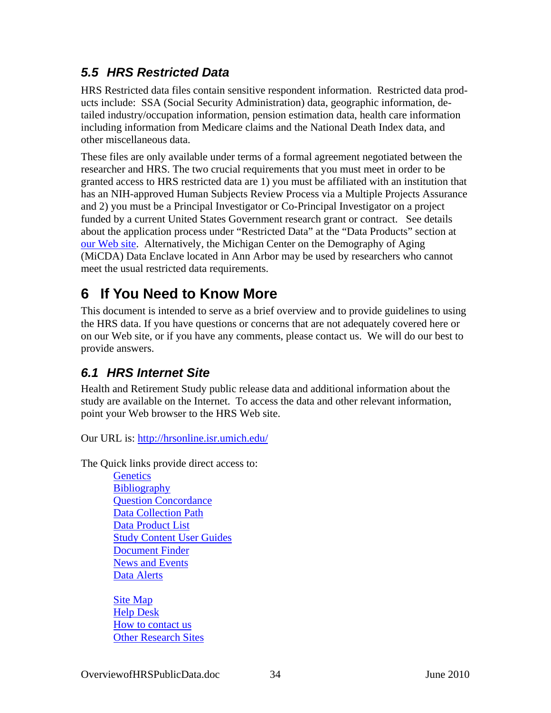# <span id="page-37-0"></span>*5.5 HRS Restricted Data*

HRS Restricted data files contain sensitive respondent information. Restricted data products include: SSA (Social Security Administration) data, geographic information, detailed industry/occupation information, pension estimation data, health care information including information from Medicare claims and the National Death Index data, and other miscellaneous data.

These files are only available under terms of a formal agreement negotiated between the researcher and HRS. The two crucial requirements that you must meet in order to be granted access to HRS restricted data are 1) you must be affiliated with an institution that has an NIH-approved Human Subjects Review Process via a Multiple Projects Assurance and 2) you must be a Principal Investigator or Co-Principal Investigator on a project funded by a current United States Government research grant or contract. See details about the application process under "Restricted Data" at the "Data Products" section at [our Web site](http://hrsonline.isr.umich.edu/). Alternatively, the Michigan Center on the Demography of Aging (MiCDA) Data Enclave located in Ann Arbor may be used by researchers who cannot meet the usual restricted data requirements.

# **6 If You Need to Know More**

This document is intended to serve as a brief overview and to provide guidelines to using the HRS data. If you have questions or concerns that are not adequately covered here or on our Web site, or if you have any comments, please contact us. We will do our best to provide answers.

# *6.1 HRS Internet Site*

Health and Retirement Study public release data and additional information about the study are available on the Internet. To access the data and other relevant information, point your Web browser to the HRS Web site.

Our URL is:<http://hrsonline.isr.umich.edu/>

The Quick links provide direct access to:

**[Genetics](http://hrsonline.isr.umich.edu/index.php?p=shoavail&jumpfrom=HO&iyear=XH) [Bibliography](http://hrsonline.isr.umich.edu/biblio)** [Question Concordance](http://hrsonline.isr.umich.edu/concord) [Data Collection Path](http://hrsonline.isr.umich.edu/index.php?p=dflow) [Data Product List](http://hrsonline.isr.umich.edu/avail) [Study Content User Guides](http://hrsonline.isr.umich.edu/index.php?p=userg) [Document Finder](http://hrsonline.isr.umich.edu/index.php?p=docfinder&jumpfrom=HO) [News and Events](http://hrsonline.isr.umich.edu/index.php?p=shownews) [Data Alerts](http://hrsonline.isr.umich.edu/alerts) 

[Site Map](http://hrsonline.isr.umich.edu/index.php?p=sitemap)  [Help Desk](http://hrsonline.isr.umich.edu/help) [How to contact us](http://hrsonline.isr.umich.edu/index.php?p=contact) **[Other Research Sites](http://hrsonline.isr.umich.edu/index.php?p=links)**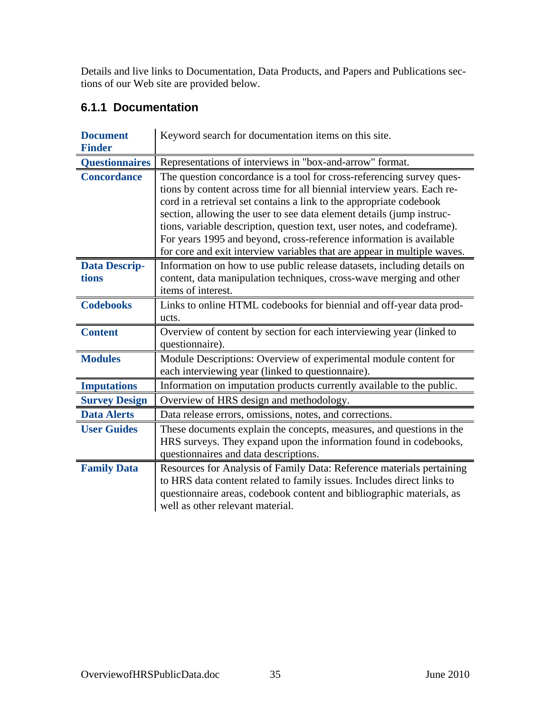<span id="page-38-0"></span>Details and live links to Documentation, Data Products, and Papers and Publications sections of our Web site are provided below.

## **6.1.1 Documentation**

| <b>Document</b>               | Keyword search for documentation items on this site.                                                                                                                                                                                                                                                                                                                                                                                                                                                                           |
|-------------------------------|--------------------------------------------------------------------------------------------------------------------------------------------------------------------------------------------------------------------------------------------------------------------------------------------------------------------------------------------------------------------------------------------------------------------------------------------------------------------------------------------------------------------------------|
| <b>Finder</b>                 |                                                                                                                                                                                                                                                                                                                                                                                                                                                                                                                                |
| <b>Questionnaires</b>         | Representations of interviews in "box-and-arrow" format.                                                                                                                                                                                                                                                                                                                                                                                                                                                                       |
| <b>Concordance</b>            | The question concordance is a tool for cross-referencing survey ques-<br>tions by content across time for all biennial interview years. Each re-<br>cord in a retrieval set contains a link to the appropriate codebook<br>section, allowing the user to see data element details (jump instruc-<br>tions, variable description, question text, user notes, and codeframe).<br>For years 1995 and beyond, cross-reference information is available<br>for core and exit interview variables that are appear in multiple waves. |
| <b>Data Descrip-</b><br>tions | Information on how to use public release datasets, including details on<br>content, data manipulation techniques, cross-wave merging and other<br>items of interest.                                                                                                                                                                                                                                                                                                                                                           |
| <b>Codebooks</b>              | Links to online HTML codebooks for biennial and off-year data prod-<br>ucts.                                                                                                                                                                                                                                                                                                                                                                                                                                                   |
| <b>Content</b>                | Overview of content by section for each interviewing year (linked to<br>questionnaire).                                                                                                                                                                                                                                                                                                                                                                                                                                        |
| <b>Modules</b>                | Module Descriptions: Overview of experimental module content for<br>each interviewing year (linked to questionnaire).                                                                                                                                                                                                                                                                                                                                                                                                          |
| <b>Imputations</b>            | Information on imputation products currently available to the public.                                                                                                                                                                                                                                                                                                                                                                                                                                                          |
| <b>Survey Design</b>          | Overview of HRS design and methodology.                                                                                                                                                                                                                                                                                                                                                                                                                                                                                        |
| <b>Data Alerts</b>            | Data release errors, omissions, notes, and corrections.                                                                                                                                                                                                                                                                                                                                                                                                                                                                        |
| <b>User Guides</b>            | These documents explain the concepts, measures, and questions in the<br>HRS surveys. They expand upon the information found in codebooks,<br>questionnaires and data descriptions.                                                                                                                                                                                                                                                                                                                                             |
| <b>Family Data</b>            | Resources for Analysis of Family Data: Reference materials pertaining<br>to HRS data content related to family issues. Includes direct links to<br>questionnaire areas, codebook content and bibliographic materials, as<br>well as other relevant material.                                                                                                                                                                                                                                                                   |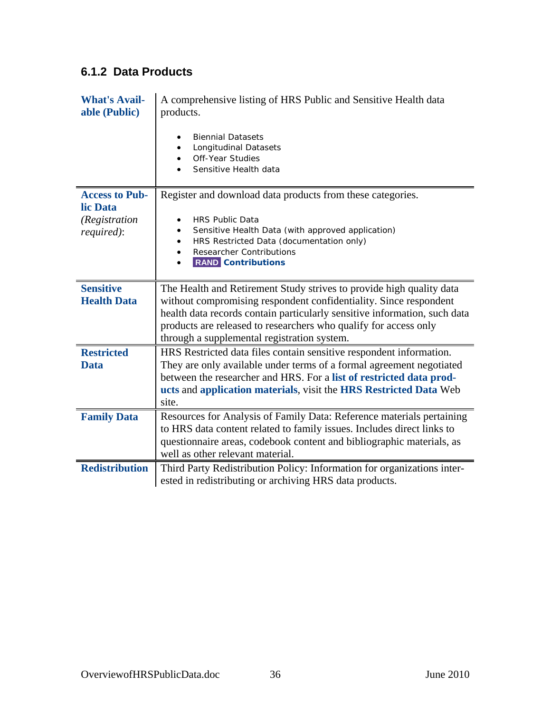# <span id="page-39-0"></span>**6.1.2 Data Products**

| <b>What's Avail-</b><br>able (Public) | A comprehensive listing of HRS Public and Sensitive Health data<br>products.                                                                    |
|---------------------------------------|-------------------------------------------------------------------------------------------------------------------------------------------------|
|                                       | <b>Biennial Datasets</b><br><b>Longitudinal Datasets</b><br>Off-Year Studies<br>Sensitive Health data                                           |
| <b>Access to Pub-</b><br>lic Data     | Register and download data products from these categories.                                                                                      |
| (Registration<br>required):           | <b>HRS Public Data</b><br>Sensitive Health Data (with approved application)<br>$\bullet$                                                        |
|                                       | HRS Restricted Data (documentation only)<br>$\bullet$                                                                                           |
|                                       | <b>Researcher Contributions</b><br>$\bullet$<br><b>RAND</b> Contributions                                                                       |
|                                       |                                                                                                                                                 |
| <b>Sensitive</b>                      | The Health and Retirement Study strives to provide high quality data                                                                            |
| <b>Health Data</b>                    | without compromising respondent confidentiality. Since respondent<br>health data records contain particularly sensitive information, such data  |
|                                       | products are released to researchers who qualify for access only                                                                                |
|                                       | through a supplemental registration system.                                                                                                     |
| <b>Restricted</b>                     | HRS Restricted data files contain sensitive respondent information.                                                                             |
| <b>Data</b>                           | They are only available under terms of a formal agreement negotiated<br>between the researcher and HRS. For a list of restricted data prod-     |
|                                       | ucts and application materials, visit the HRS Restricted Data Web                                                                               |
|                                       | site.                                                                                                                                           |
| <b>Family Data</b>                    | Resources for Analysis of Family Data: Reference materials pertaining                                                                           |
|                                       | to HRS data content related to family issues. Includes direct links to<br>questionnaire areas, codebook content and bibliographic materials, as |
|                                       | well as other relevant material.                                                                                                                |
| <b>Redistribution</b>                 | Third Party Redistribution Policy: Information for organizations inter-                                                                         |
|                                       | ested in redistributing or archiving HRS data products.                                                                                         |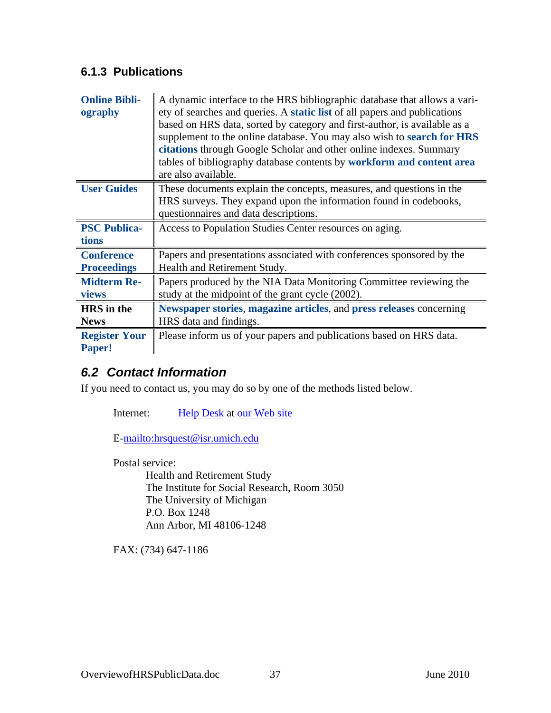## <span id="page-40-0"></span>**6.1.3 Publications**

| <b>Online Bibli-</b><br>ography         | A dynamic interface to the HRS bibliographic database that allows a vari-<br>ety of searches and queries. A <b>static list</b> of all papers and publications<br>based on HRS data, sorted by category and first-author, is available as a<br>supplement to the online database. You may also wish to search for HRS<br>citations through Google Scholar and other online indexes. Summary<br>tables of bibliography database contents by workform and content area<br>are also available. |
|-----------------------------------------|--------------------------------------------------------------------------------------------------------------------------------------------------------------------------------------------------------------------------------------------------------------------------------------------------------------------------------------------------------------------------------------------------------------------------------------------------------------------------------------------|
| <b>User Guides</b>                      | These documents explain the concepts, measures, and questions in the<br>HRS surveys. They expand upon the information found in codebooks,<br>questionnaires and data descriptions.                                                                                                                                                                                                                                                                                                         |
| <b>PSC Publica-</b><br>tions            | Access to Population Studies Center resources on aging.                                                                                                                                                                                                                                                                                                                                                                                                                                    |
| <b>Conference</b><br><b>Proceedings</b> | Papers and presentations associated with conferences sponsored by the<br>Health and Retirement Study.                                                                                                                                                                                                                                                                                                                                                                                      |
| <b>Midterm Re-</b><br>views             | Papers produced by the NIA Data Monitoring Committee reviewing the<br>study at the midpoint of the grant cycle (2002).                                                                                                                                                                                                                                                                                                                                                                     |
| <b>HRS</b> in the<br><b>News</b>        | Newspaper stories, magazine articles, and press releases concerning<br>HRS data and findings.                                                                                                                                                                                                                                                                                                                                                                                              |
| <b>Register Your</b><br>Paper!          | Please inform us of your papers and publications based on HRS data.                                                                                                                                                                                                                                                                                                                                                                                                                        |

# *6.2 Contact Information*

If you need to contact us, you may do so by one of the methods listed below.

Internet: [Help Desk](http://hrsonline.isr.umich.edu/intro/hrsquest.php) at [our Web site](http://hrsonline.isr.umich.edu/)

E[-mailto:hrsquest@isr.umich.edu](mailto:hrsquest@isr.umich.edu)

Postal service: Health and Retirement Study The Institute for Social Research, Room 3050 The University of Michigan P.O. Box 1248 Ann Arbor, MI 48106-1248

FAX: (734) 647-1186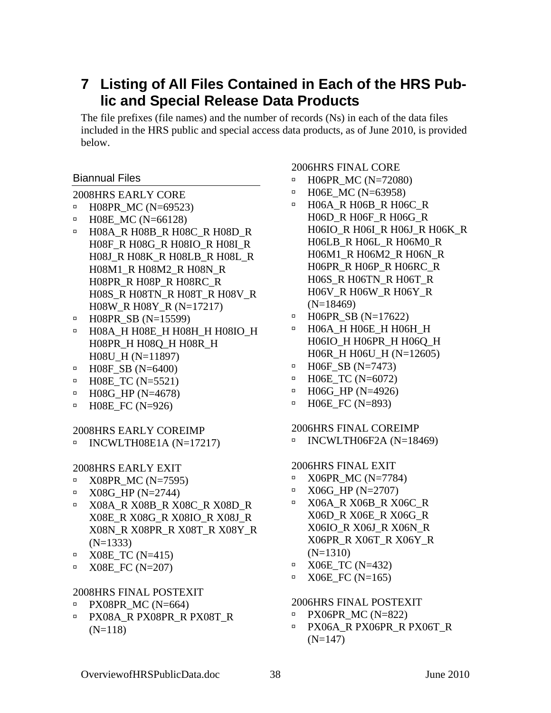# <span id="page-41-0"></span>**7 Listing of All Files Contained in Each of the HRS Public and Special Release Data Products**

The file prefixes (file names) and the number of records (Ns) in each of the data files included in the HRS public and special access data products, as of June 2010, is provided below.

### Biannual Files

2008HRS EARLY CORE

- à H08PR\_MC (N=69523)
- $\blacksquare$  H08E\_MC (N=66128)
- à H08A\_R H08B\_R H08C\_R H08D\_R H08F\_R H08G\_R H08IO\_R H08I\_R H08J\_R H08K\_R H08LB\_R H08L\_R H08M1\_R H08M2\_R H08N\_R H08PR\_R H08P\_R H08RC\_R H08S\_R H08TN\_R H08T\_R H08V\_R H08W\_R H08Y\_R (N=17217)
- $\blacksquare$  H08PR SB (N=15599)
- à H08A\_H H08E\_H H08H\_H H08IO\_H H08PR\_H H08Q\_H H08R\_H H08U\_H (N=11897)
- $\blacksquare$  H08F\_SB (N=6400)
- $\blacksquare$  H08E\_TC (N=5521)
- $\blacksquare$  H08G HP (N=4678)
- $\blacksquare$  H08E\_FC (N=926)

### 2008HRS EARLY COREIMP

 $\blacksquare$  INCWLTH08E1A (N=17217)

### 2008HRS EARLY EXIT

- $\textdegree$  X08PR MC (N=7595)
- $\blacksquare$  X08G\_HP (N=2744)
- à X08A\_R X08B\_R X08C\_R X08D\_R X08E\_R X08G\_R X08IO\_R X08J\_R X08N\_R X08PR\_R X08T\_R X08Y\_R (N=1333)
- $\textdegree$  X08E TC (N=415)
- $\textdegree$  X08E FC (N=207)

### 2008HRS FINAL POSTEXIT

- $\textdegree$  PX08PR\_MC (N=664)
- à PX08A\_R PX08PR\_R PX08T\_R  $(N=118)$

### 2006HRS FINAL CORE

- $\blacksquare$  H06PR MC (N=72080)
- à H06E\_MC (N=63958)
- à H06A\_R H06B\_R H06C\_R H06D\_R H06F\_R H06G\_R H06IO\_R H06I\_R H06J\_R H06K\_R H06LB\_R H06L\_R H06M0\_R H06M1\_R H06M2\_R H06N\_R H06PR\_R H06P\_R H06RC\_R H06S\_R H06TN\_R H06T\_R H06V\_R H06W\_R H06Y\_R (N=18469)
- à H06PR\_SB (N=17622)
- à H06A\_H H06E\_H H06H\_H H06IO\_H H06PR\_H H06Q\_H H06R\_H H06U\_H (N=12605)
- $\blacksquare$  H06F SB (N=7473)
- $\blacksquare$  H06E TC (N=6072)
- $\blacksquare$  H06G\_HP (N=4926)
- $\blacksquare$  H06E FC (N=893)

### 2006HRS FINAL COREIMP

 $\blacksquare$  INCWLTH06F2A (N=18469)

### 2006HRS FINAL EXIT

- $\blacksquare$  X06PR\_MC (N=7784)
- $\blacksquare$  X06G HP (N=2707)
- <sup>□</sup> X06A R X06B R X06C R X06D\_R X06E\_R X06G\_R X06IO\_R X06J\_R X06N\_R X06PR\_R X06T\_R X06Y\_R (N=1310)
- $\textdegree$  X06E TC (N=432)
- $\textdegree$  X06E\_FC (N=165)

### 2006HRS FINAL POSTEXIT

- $\textdegree$  PX06PR MC (N=822)
- à PX06A\_R PX06PR\_R PX06T\_R  $(N=147)$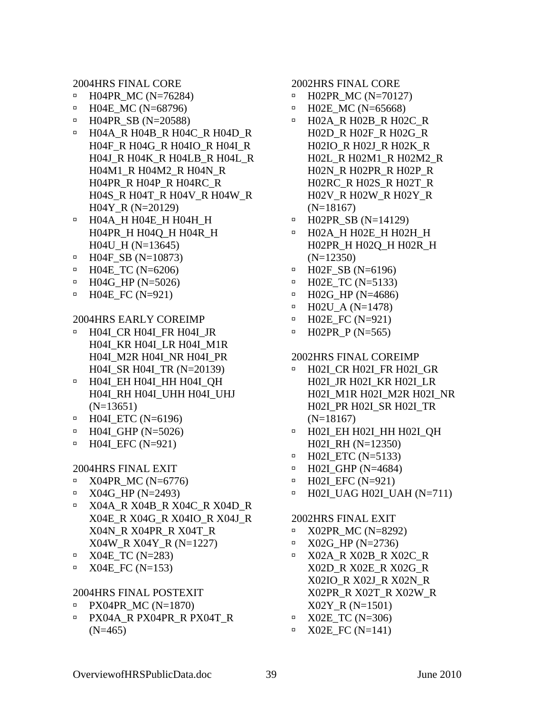2004HRS FINAL CORE

- $\blacksquare$  H04PR\_MC (N=76284)
- $\blacksquare$  H04E\_MC (N=68796)
- $\blacksquare$  H04PR\_SB (N=20588)
- à H04A\_R H04B\_R H04C\_R H04D\_R H04F\_R H04G\_R H04IO\_R H04I\_R H04J\_R H04K\_R H04LB\_R H04L\_R H04M1\_R H04M2\_R H04N\_R H04PR\_R H04P\_R H04RC\_R H04S\_R H04T\_R H04V\_R H04W\_R H04Y\_R (N=20129)
- à H04A\_H H04E\_H H04H\_H H04PR\_H H04Q\_H H04R\_H H04U\_H (N=13645)
- $\blacksquare$  H04F\_SB (N=10873)
- $\blacksquare$  H04E TC (N=6206)
- $\blacksquare$  H04G\_HP (N=5026)
- $\blacksquare$  H04E\_FC (N=921)

#### 2004HRS EARLY COREIMP

- à H04I\_CR H04I\_FR H04I\_JR H04I\_KR H04I\_LR H04I\_M1R H04I\_M2R H04I\_NR H04I\_PR H04I\_SR H04I\_TR (N=20139)
- à H04I\_EH H04I\_HH H04I\_QH H04I\_RH H04I\_UHH H04I\_UHJ (N=13651)
- $\blacksquare$  H04I\_ETC (N=6196)
- $\blacksquare$  H04I GHP (N=5026)
- $\blacksquare$  H04I\_EFC (N=921)

#### 2004HRS FINAL EXIT

- $\textdegree$  X04PR MC (N=6776)
- $\blacksquare$  X04G\_HP (N=2493)
- à X04A\_R X04B\_R X04C\_R X04D\_R X04E\_R X04G\_R X04IO\_R X04J\_R X04N\_R X04PR\_R X04T\_R X04W\_R X04Y\_R (N=1227)
- à X04E\_TC (N=283)
- $\blacksquare$  X04E\_FC (N=153)

#### 2004HRS FINAL POSTEXIT

- PX04PR  $MC (N=1870)$
- à PX04A\_R PX04PR\_R PX04T\_R  $(N=465)$

#### 2002HRS FINAL CORE

- $\blacksquare$  H02PR\_MC (N=70127)
- à H02E\_MC (N=65668)
- à H02A\_R H02B\_R H02C\_R H02D\_R H02F\_R H02G\_R H02IO\_R H02J\_R H02K\_R H02L\_R H02M1\_R H02M2\_R H02N\_R H02PR\_R H02P\_R H02RC\_R H02S\_R H02T\_R H02V\_R H02W\_R H02Y\_R (N=18167)
- à H02PR\_SB (N=14129)
- à H02A\_H H02E\_H H02H\_H H02PR\_H H02Q\_H H02R\_H (N=12350)
- à H02F\_SB (N=6196)
- $\text{H}02E\_TC \text{ (N=5133)}$
- $\text{H}02G$ \_HP (N=4686)
- $\blacksquare$  H02U\_A (N=1478)
- $\blacksquare$  H02E\_FC (N=921)
- $\blacksquare$  H02PR P (N=565)

### 2002HRS FINAL COREIMP

- à H02I\_CR H02I\_FR H02I\_GR H02I\_JR H02I\_KR H02I\_LR H02I\_M1R H02I\_M2R H02I\_NR H02I\_PR H02I\_SR H02I\_TR (N=18167)
- <sup>□</sup> H02I EH H02I HH H02I QH H02I\_RH (N=12350)
- $\blacksquare$  H02I ETC (N=5133)
- $\blacksquare$  H02I\_GHP (N=4684)
- $\blacksquare$  H02I EFC (N=921)
- $\blacksquare$  H02I UAG H02I UAH (N=711)

#### 2002HRS FINAL EXIT

- $\textdegree$  X02PR MC (N=8292)
- $\textdegree$  X02G HP (N=2736)
- **EX02A\_R X02B\_R X02C\_R** X02D\_R X02E\_R X02G\_R X02IO\_R X02J\_R X02N\_R X02PR\_R X02T\_R X02W\_R X02Y\_R (N=1501)
- $\textdegree$  X02E\_TC (N=306)
- $\blacksquare$  X02E\_FC (N=141)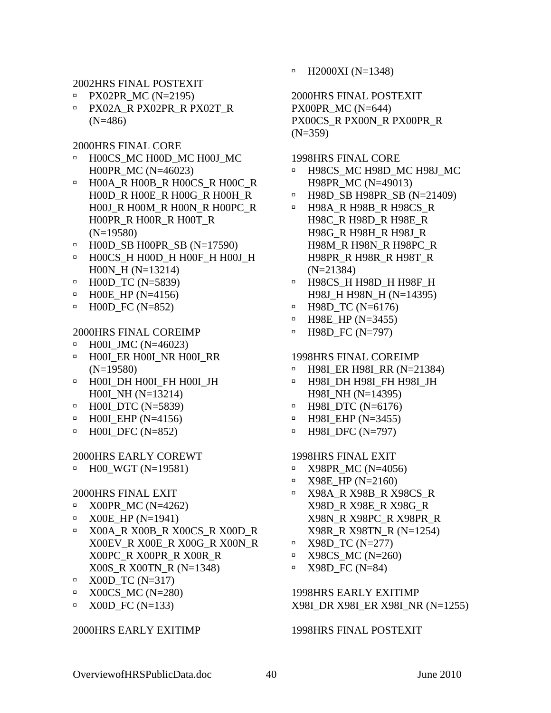2002HRS FINAL POSTEXIT

- $\text{P} \times 02\text{PR} \text{MC}$  (N=2195)
- à PX02A\_R PX02PR\_R PX02T\_R (N=486)

2000HRS FINAL CORE

- à H00CS\_MC H00D\_MC H00J\_MC H00PR\_MC (N=46023)
- à H00A\_R H00B\_R H00CS\_R H00C\_R H00D\_R H00E\_R H00G\_R H00H\_R H00J\_R H00M\_R H00N\_R H00PC\_R H00PR\_R H00R\_R H00T\_R (N=19580)
- $\blacksquare$  H00D\_SB H00PR\_SB (N=17590)
- à H00CS\_H H00D\_H H00F\_H H00J\_H H00N\_H (N=13214)
- à H00D\_TC (N=5839)
- $\blacksquare$  H00E\_HP (N=4156)
- $\blacksquare$  H00D\_FC (N=852)

### 2000HRS FINAL COREIMP

- à H00I\_JMC (N=46023)
- à H00I\_ER H00I\_NR H00I\_RR (N=19580)
- à H00I\_DH H00I\_FH H00I\_JH H00I\_NH (N=13214)
- $\blacksquare$  H00I\_DTC (N=5839)
- $\blacksquare$  H00I EHP (N=4156)
- $\textdegree$  H00I DFC (N=852)

### 2000HRS EARLY COREWT

 $\blacksquare$  H00\_WGT (N=19581)

### 2000HRS FINAL EXIT

- $\textdegree$  X00PR\_MC (N=4262)
- $\blacksquare$  X00E\_HP (N=1941)
- à X00A\_R X00B\_R X00CS\_R X00D\_R X00EV\_R X00E\_R X00G\_R X00N\_R X00PC\_R X00PR\_R X00R\_R X00S\_R X00TN\_R (N=1348)
- $\Box$  X00D TC (N=317)
- $\textdegree$  X00CS\_MC (N=280)
- $\Box$  X00D FC (N=133)

### 2000HRS EARLY EXITIMP

 $\blacksquare$  H2000XI (N=1348)

2000HRS FINAL POSTEXIT PX00PR\_MC (N=644) PX00CS\_R PX00N\_R PX00PR\_R  $(N=359)$ 

1998HRS FINAL CORE

- à H98CS\_MC H98D\_MC H98J\_MC H98PR\_MC (N=49013)
- à H98D\_SB H98PR\_SB (N=21409)
- à H98A\_R H98B\_R H98CS\_R H98C\_R H98D\_R H98E\_R H98G\_R H98H\_R H98J\_R H98M\_R H98N\_R H98PC\_R H98PR\_R H98R\_R H98T\_R (N=21384)
- à H98CS\_H H98D\_H H98F\_H H98J\_H H98N\_H (N=14395)
- $\text{H98D\_TC}$  (N=6176)
- $\blacksquare$  H98E\_HP (N=3455)
- $\blacksquare$  H98D FC (N=797)

### 1998HRS FINAL COREIMP

- à H98I\_ER H98I\_RR (N=21384)
- à H98I\_DH H98I\_FH H98I\_JH H98I\_NH (N=14395)
- $\blacksquare$  H98I\_DTC (N=6176)
- $\blacksquare$  H98I EHP (N=3455)
- $\blacksquare$  H98I DFC (N=797)

#### 1998HRS FINAL EXIT

- $\textdegree$  X98PR\_MC (N=4056)
- $\text{Y98E}$  HP (N=2160)
- à X98A\_R X98B\_R X98CS\_R X98D\_R X98E\_R X98G\_R X98N\_R X98PC\_R X98PR\_R X98R\_R X98TN\_R (N=1254)
- $\blacksquare$  X98D TC (N=277)
- $\textdegree$  X98CS MC (N=260)
- $\textdegree$  X98D\_FC (N=84)

1998HRS EARLY EXITIMP X98I\_DR X98I\_ER X98I\_NR (N=1255)

### 1998HRS FINAL POSTEXIT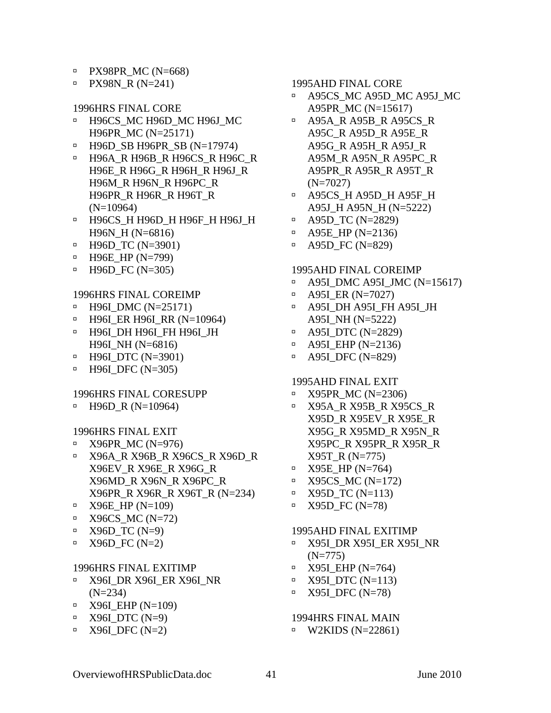- $\text{P}$  PX98PR\_MC (N=668)
- $PXY98N_R (N=241)$

1996HRS FINAL CORE

- à H96CS\_MC H96D\_MC H96J\_MC H96PR\_MC (N=25171)
- $\blacksquare$  H96D\_SB H96PR\_SB (N=17974)
- à H96A\_R H96B\_R H96CS\_R H96C\_R H96E\_R H96G\_R H96H\_R H96J\_R H96M\_R H96N\_R H96PC\_R H96PR\_R H96R\_R H96T\_R (N=10964)
- à H96CS\_H H96D\_H H96F\_H H96J\_H H96N\_H (N=6816)
- $\blacksquare$  H96D\_TC (N=3901)
- $\blacksquare$  H96E\_HP (N=799)
- $\blacksquare$  H96D\_FC (N=305)

### 1996HRS FINAL COREIMP

- $\blacksquare$  H96I\_DMC (N=25171)
- à H96I\_ER H96I\_RR (N=10964)
- à H96I\_DH H96I\_FH H96I\_JH H96I\_NH (N=6816)
- $\blacksquare$  H96I DTC (N=3901)
- $\blacksquare$  H96I\_DFC (N=305)

#### 1996HRS FINAL CORESUPP

 $\blacksquare$  H96D\_R (N=10964)

### 1996HRS FINAL EXIT

- $\textdegree$  X96PR\_MC (N=976)
- à X96A\_R X96B\_R X96CS\_R X96D\_R X96EV\_R X96E\_R X96G\_R X96MD\_R X96N\_R X96PC\_R X96PR\_R X96R\_R X96T\_R (N=234)
- $\text{A}$  X96E\_HP (N=109)
- $\textdegree$  X96CS\_MC (N=72)
- $\text{Y} = \text{X}96D\_TC \text{ (N=9)}$
- $\text{Y}$  X96D\_FC (N=2)

#### 1996HRS FINAL EXITIMP

- à X96I\_DR X96I\_ER X96I\_NR (N=234)
- $\blacksquare$  X96I EHP (N=109)
- $\blacksquare$  X96I\_DTC (N=9)
- $\blacksquare$  X96I\_DFC (N=2)

### 1995AHD FINAL CORE

- à A95CS\_MC A95D\_MC A95J\_MC A95PR\_MC (N=15617)
- à A95A\_R A95B\_R A95CS\_R A95C\_R A95D\_R A95E\_R A95G\_R A95H\_R A95J\_R A95M\_R A95N\_R A95PC\_R A95PR\_R A95R\_R A95T\_R (N=7027)
- à A95CS\_H A95D\_H A95F\_H A95J\_H A95N\_H (N=5222)
- $\blacksquare$  A95D\_TC (N=2829)
- $\blacksquare$  A95E\_HP (N=2136)
- $\overline{P}$  A95D\_FC (N=829)

### 1995AHD FINAL COREIMP

- à A95I\_DMC A95I\_JMC (N=15617)
- $\blacksquare$  A95I\_ER (N=7027)
- à A95I\_DH A95I\_FH A95I\_JH A95I\_NH (N=5222)
- $\overline{P}$  A95I DTC (N=2829)
- $\blacksquare$  A95I\_EHP (N=2136)
- à A95I\_DFC (N=829)

### 1995AHD FINAL EXIT

- $\textdegree$  X95PR\_MC (N=2306)
- à X95A\_R X95B\_R X95CS\_R X95D\_R X95EV\_R X95E\_R X95G\_R X95MD\_R X95N\_R X95PC\_R X95PR\_R X95R\_R X95T\_R (N=775)
- $\blacksquare$  X95E\_HP (N=764)
- $\blacksquare$  X95CS MC (N=172)
- $\blacksquare$  X95D TC (N=113)
- $\blacksquare$  X95D\_FC (N=78)

#### 1995AHD FINAL EXITIMP

- à X95I\_DR X95I\_ER X95I\_NR (N=775)
- $\blacksquare$  X95I\_EHP (N=764)
- $\blacksquare$  X95I DTC (N=113)
- $\blacksquare$  X95I\_DFC (N=78)

## 1994HRS FINAL MAIN

 $\text{W2KIDS}$  (N=22861)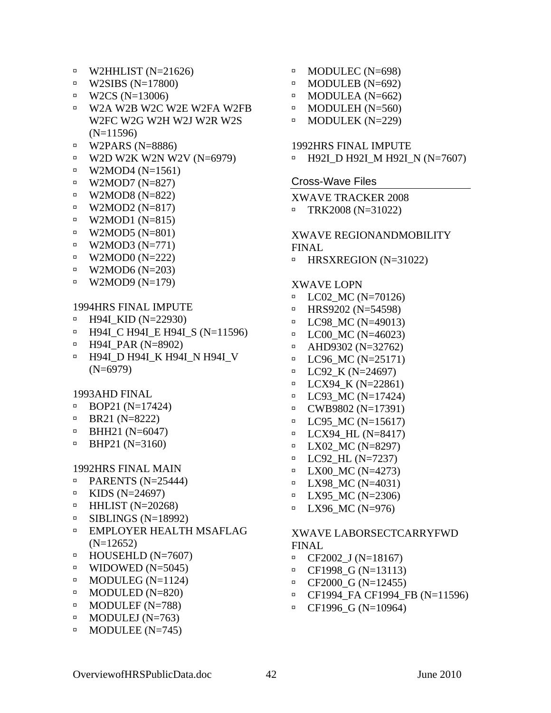- <span id="page-45-0"></span> $\blacksquare$  W2HHLIST (N=21626)
- $\text{W2SIBS}$  (N=17800)
- $\text{W2CS}$  (N=13006)
- à W2A W2B W2C W2E W2FA W2FB W2FC W2G W2H W2J W2R W2S (N=11596)
- $\textdegree$  W2PARS (N=8886)
- $\text{W2D W2K W2N W2V (N=6979)}$
- $\text{W2MOD4 (N=1561)}$
- $\text{W2MOD7}$  (N=827)
- $\text{W2MOD8 (N=822)}$
- $\nu$  W2MOD2 (N=817)
- $\text{W2MOD1 (N=815)}$
- $\text{W2MOD5 (N=801)}$
- $\nu$  W2MOD3 (N=771)
- $\text{W2MOD0}$  (N=222)
- $\text{W2MOD6 (N=203)}$
- $\nu$  W2MOD9 (N=179)

### 1994HRS FINAL IMPUTE

- $\blacksquare$  H94I\_KID (N=22930)
- $\Box$  H94I C H94I E H94I S (N=11596)
- $\blacksquare$  H94I\_PAR (N=8902)
- **E** H94I D H94I K H94I\_N H94I\_V (N=6979)

#### 1993AHD FINAL

- $\blacksquare$  BOP21 (N=17424)
- $\text{BR}21 \, (\text{N} = 8222)$
- $\blacksquare$  BHH21 (N=6047)
- $\text{BHP21 (N=3160)}$

#### 1992HRS FINAL MAIN

- $\blacksquare$  PARENTS (N=25444)
- **E** KIDS (N=24697)
- $\blacksquare$  HHLIST (N=20268)
- $\blacksquare$  SIBLINGS (N=18992)
- □ EMPLOYER HEALTH MSAFLAG  $(N=12652)$
- $\blacksquare$  HOUSEHLD (N=7607)
- $\text{WIDOWED (N=5045)}$
- $\blacksquare$  MODULEG (N=1124)
- $\blacksquare$  MODULED (N=820)
- $\blacksquare$  MODULEF (N=788)
- $\blacksquare$  MODULEJ (N=763)
- $\blacksquare$  MODULEE (N=745)
- $\blacksquare$  MODULEC (N=698)
	- $\text{MODULEB}$  (N=692)
	- $\blacksquare$  MODULEA (N=662)
	- $\text{MODULEH}$  (N=560)
	- $\blacksquare$  MODULEK (N=229)

### 1992HRS FINAL IMPUTE

à H92I\_D H92I\_M H92I\_N (N=7607)

#### Cross-Wave Files

XWAVE TRACKER 2008  $\text{TRK2008 (N=31022)}$ 

## XWAVE REGIONANDMOBILITY

- FINAL
- $\text{HRSXREGION}$  (N=31022)

#### XWAVE LOPN

- $\blacksquare$  LC02\_MC (N=70126)
- $\blacksquare$  HRS9202 (N=54598)
- $\blacksquare$  LC98\_MC (N=49013)
- $\textdegree$  LC00\_MC (N=46023)
- $\blacksquare$  AHD9302 (N=32762)
- $\blacksquare$  LC96\_MC (N=25171)
- $\blacksquare$  LC92 K (N=24697)
- $\blacksquare$  LCX94 K (N=22861)
- $\blacksquare$  LC93\_MC (N=17424)
- $\text{CWB}$  CWB9802 (N=17391)
- $\blacksquare$  LC95 MC (N=15617)
- $\blacksquare$  LCX94 HL (N=8417)
- $\blacksquare$  LX02 MC (N=8297)
- $\blacksquare$  LC92\_HL (N=7237)
- $\blacksquare$  LX00 MC (N=4273)
- $\blacksquare$  LX98\_MC (N=4031)
- $\blacksquare$  LX95 MC (N=2306)
- $\blacksquare$  LX96\_MC (N=976)

### XWAVE LABORSECTCARRYFWD FINAL

- $\Box$  CF2002 J (N=18167)
- $\Box$  CF1998\_G (N=13113)
- $\text{CF2000\_G (N=12455)}$
- $\Box$  CF1994\_FA CF1994\_FB (N=11596)
- $\Box$  CF1996 G (N=10964)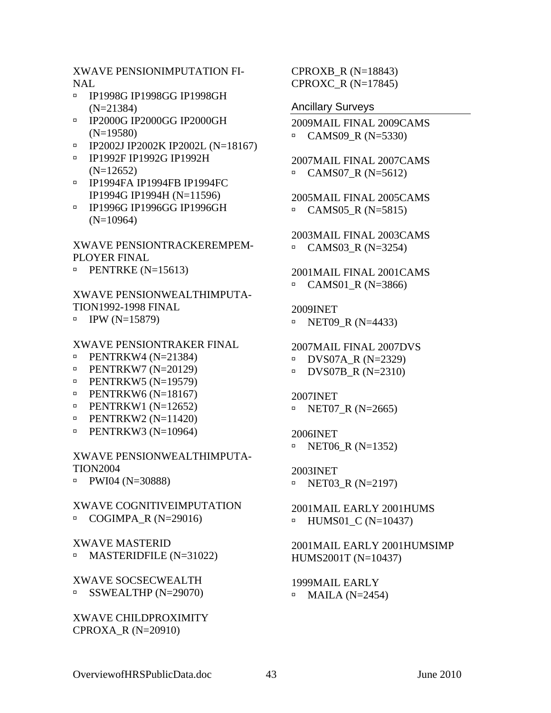<span id="page-46-0"></span>XWAVE PENSIONIMPUTATION FI-NAL

- à IP1998G IP1998GG IP1998GH (N=21384)
- à IP2000G IP2000GG IP2000GH (N=19580)
- à IP2002J IP2002K IP2002L (N=18167)
- à IP1992F IP1992G IP1992H (N=12652)
- à IP1994FA IP1994FB IP1994FC IP1994G IP1994H (N=11596)
- à IP1996G IP1996GG IP1996GH (N=10964)

XWAVE PENSIONTRACKEREMPEM-PLOYER FINAL

 $\text{PENTRKE}$  (N=15613)

XWAVE PENSIONWEALTHIMPUTA-TION1992-1998 FINAL

 $\blacksquare$  IPW (N=15879)

### XWAVE PENSIONTRAKER FINAL

- $\text{PENTRKW4 (N=21384)}$
- $\text{PENTRKW7 (N=20129)}$
- $\text{PENTRKW5 (N=19579)}$
- $\text{PENTRKW6 (N=18167)}$
- $\text{PENTRKW1 (N=12652)}$
- $\text{PENTRKW2 (N=11420)}$
- $\text{PENTRKW3 (N=10964)}$

### XWAVE PENSIONWEALTHIMPUTA-TION2004

 $\blacksquare$  PWI04 (N=30888)

## XWAVE COGNITIVEIMPUTATION

 $\Box$  COGIMPA R (N=29016)

### XWAVE MASTERID

 $\blacksquare$  MASTERIDFILE (N=31022)

### XWAVE SOCSECWEALTH  $\text{SSWEALTHP}$  (N=29070)

### XWAVE CHILDPROXIMITY CPROXA\_R (N=20910)

CPROXB\_R (N=18843) CPROXC\_R (N=17845)

### Ancillary Surveys

- 2009MAIL FINAL 2009CAMS  $\Box$  CAMS09 R (N=5330)
- 2007MAIL FINAL 2007CAMS  $\text{CAMS}07_R \text{ (N=5612)}$

2005MAIL FINAL 2005CAMS  $\text{CAMS05\_R}$  (N=5815)

2003MAIL FINAL 2003CAMS  $\text{CAMS03\_R}$  (N=3254)

2001MAIL FINAL 2001CAMS  $\Box$  CAMS01 R (N=3866)

### 2009INET

 $\blacksquare$  NET09\_R (N=4433)

2007MAIL FINAL 2007DVS

 $\blacksquare$  DVS07A\_R (N=2329)

 $\blacksquare$  DVS07B R (N=2310)

#### 2007INET

 $\text{NET07\_R}$  (N=2665)

### 2006INET

 $\blacksquare$  NET06 R (N=1352)

2003INET  $\blacksquare$  NET03\_R (N=2197)

2001MAIL EARLY 2001HUMS  $\blacksquare$  HUMS01\_C (N=10437)

2001MAIL EARLY 2001HUMSIMP HUMS2001T (N=10437)

1999MAIL EARLY  $\blacksquare$  MAILA (N=2454)